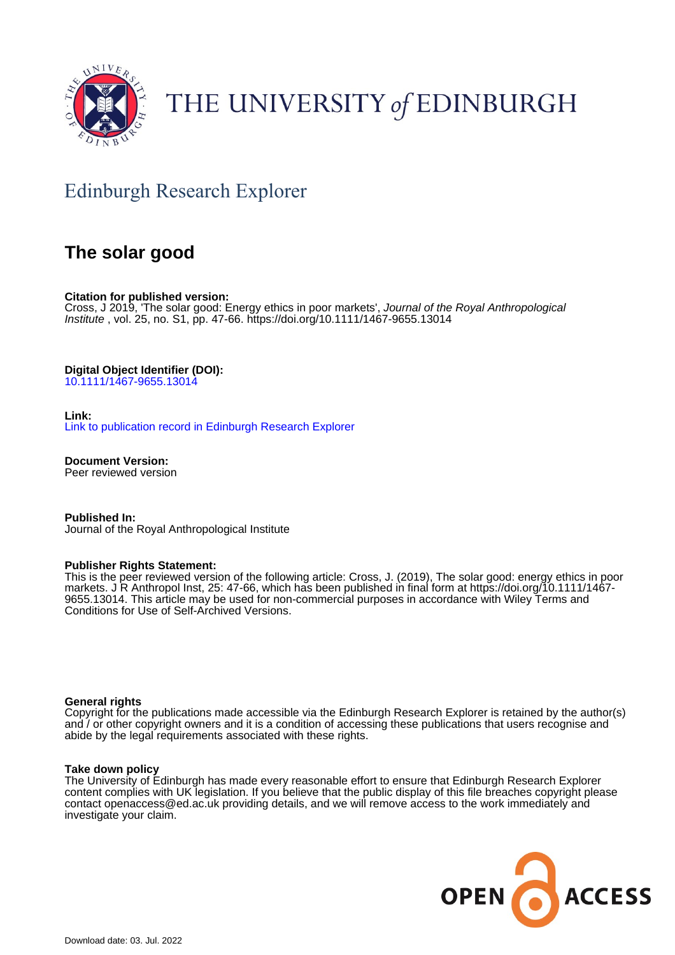

# THE UNIVERSITY of EDINBURGH

# Edinburgh Research Explorer

# **The solar good**

**Citation for published version:**

Cross, J 2019, 'The solar good: Energy ethics in poor markets', Journal of the Royal Anthropological Institute , vol. 25, no. S1, pp. 47-66. <https://doi.org/10.1111/1467-9655.13014>

**Digital Object Identifier (DOI):**

[10.1111/1467-9655.13014](https://doi.org/10.1111/1467-9655.13014)

#### **Link:**

[Link to publication record in Edinburgh Research Explorer](https://www.research.ed.ac.uk/en/publications/e82ee9bc-a975-46e5-a255-dc77db7a8617)

**Document Version:** Peer reviewed version

**Published In:** Journal of the Royal Anthropological Institute

#### **Publisher Rights Statement:**

This is the peer reviewed version of the following article: Cross, J. (2019), The solar good: energy ethics in poor markets. J R Anthropol Inst, 25: 47-66, which has been published in final form at https://doi.org/10.1111/1467- 9655.13014. This article may be used for non-commercial purposes in accordance with Wiley Terms and Conditions for Use of Self-Archived Versions.

#### **General rights**

Copyright for the publications made accessible via the Edinburgh Research Explorer is retained by the author(s) and / or other copyright owners and it is a condition of accessing these publications that users recognise and abide by the legal requirements associated with these rights.

#### **Take down policy**

The University of Edinburgh has made every reasonable effort to ensure that Edinburgh Research Explorer content complies with UK legislation. If you believe that the public display of this file breaches copyright please contact openaccess@ed.ac.uk providing details, and we will remove access to the work immediately and investigate your claim.

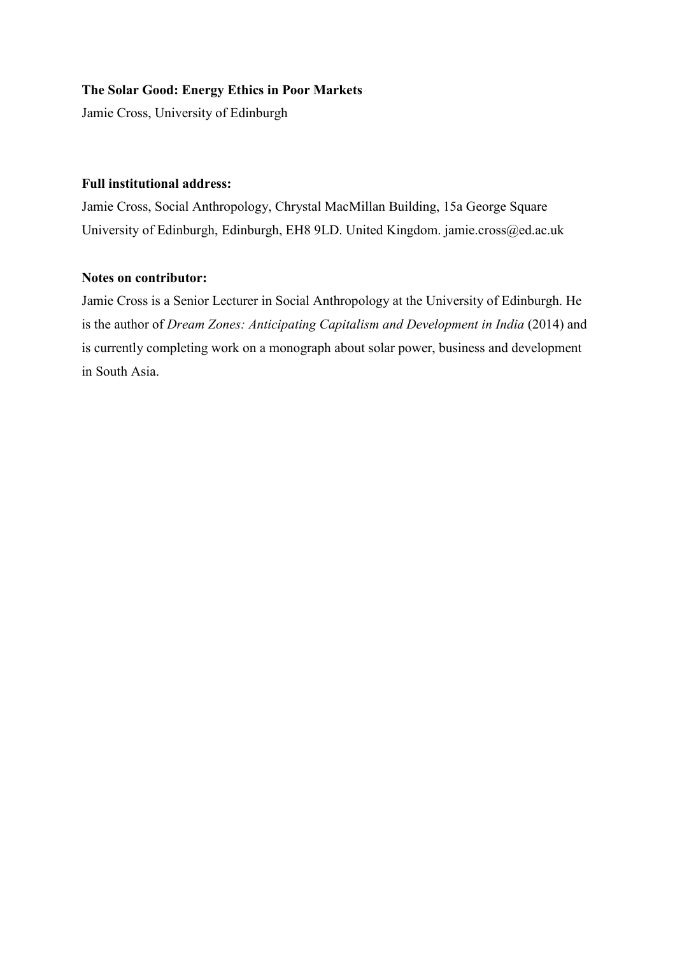# **The Solar Good: Energy Ethics in Poor Markets**

Jamie Cross, University of Edinburgh

# **Full institutional address:**

Jamie Cross, Social Anthropology, Chrystal MacMillan Building, 15a George Square University of Edinburgh, Edinburgh, EH8 9LD. United Kingdom. jamie.cross@ed.ac.uk

# **Notes on contributor:**

Jamie Cross is a Senior Lecturer in Social Anthropology at the University of Edinburgh. He is the author of *Dream Zones: Anticipating Capitalism and Development in India* (2014) and is currently completing work on a monograph about solar power, business and development in South Asia.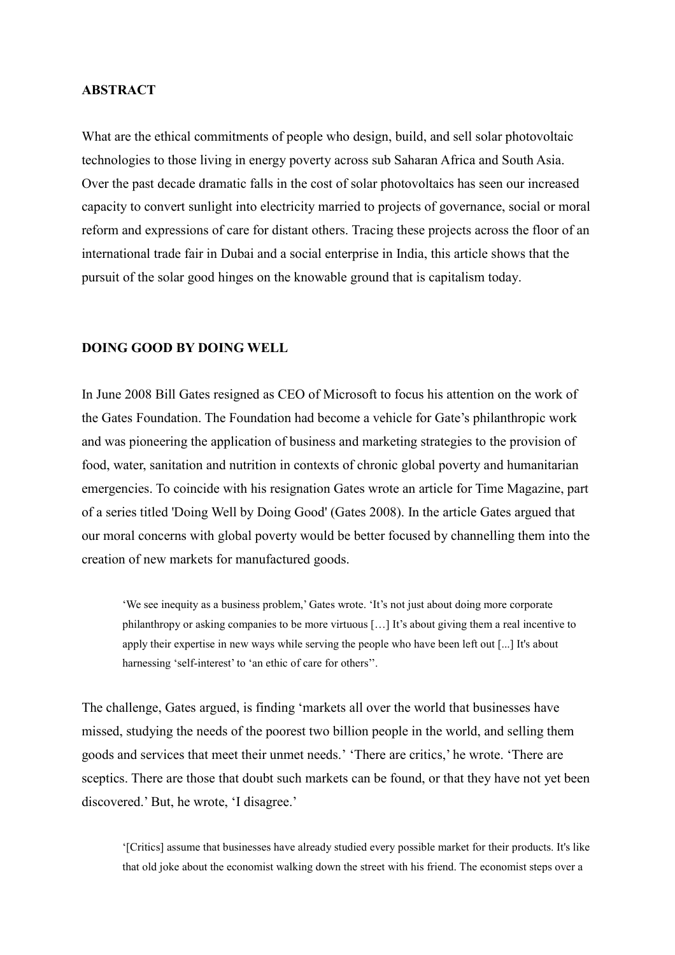#### **ABSTRACT**

What are the ethical commitments of people who design, build, and sell solar photovoltaic technologies to those living in energy poverty across sub Saharan Africa and South Asia. Over the past decade dramatic falls in the cost of solar photovoltaics has seen our increased capacity to convert sunlight into electricity married to projects of governance, social or moral reform and expressions of care for distant others. Tracing these projects across the floor of an international trade fair in Dubai and a social enterprise in India, this article shows that the pursuit of the solar good hinges on the knowable ground that is capitalism today.

#### **DOING GOOD BY DOING WELL**

In June 2008 Bill Gates resigned as CEO of Microsoft to focus his attention on the work of the Gates Foundation. The Foundation had become a vehicle for Gate's philanthropic work and was pioneering the application of business and marketing strategies to the provision of food, water, sanitation and nutrition in contexts of chronic global poverty and humanitarian emergencies. To coincide with his resignation Gates wrote an article for Time Magazine, part of a series titled 'Doing Well by Doing Good' (Gates 2008). In the article Gates argued that our moral concerns with global poverty would be better focused by channelling them into the creation of new markets for manufactured goods.

'We see inequity as a business problem,' Gates wrote. 'It's not just about doing more corporate philanthropy or asking companies to be more virtuous […] It's about giving them a real incentive to apply their expertise in new ways while serving the people who have been left out [...] It's about harnessing 'self-interest' to 'an ethic of care for others''.

The challenge, Gates argued, is finding 'markets all over the world that businesses have missed, studying the needs of the poorest two billion people in the world, and selling them goods and services that meet their unmet needs.' 'There are critics,' he wrote. 'There are sceptics. There are those that doubt such markets can be found, or that they have not yet been discovered.' But, he wrote, 'I disagree.'

'[Critics] assume that businesses have already studied every possible market for their products. It's like that old joke about the economist walking down the street with his friend. The economist steps over a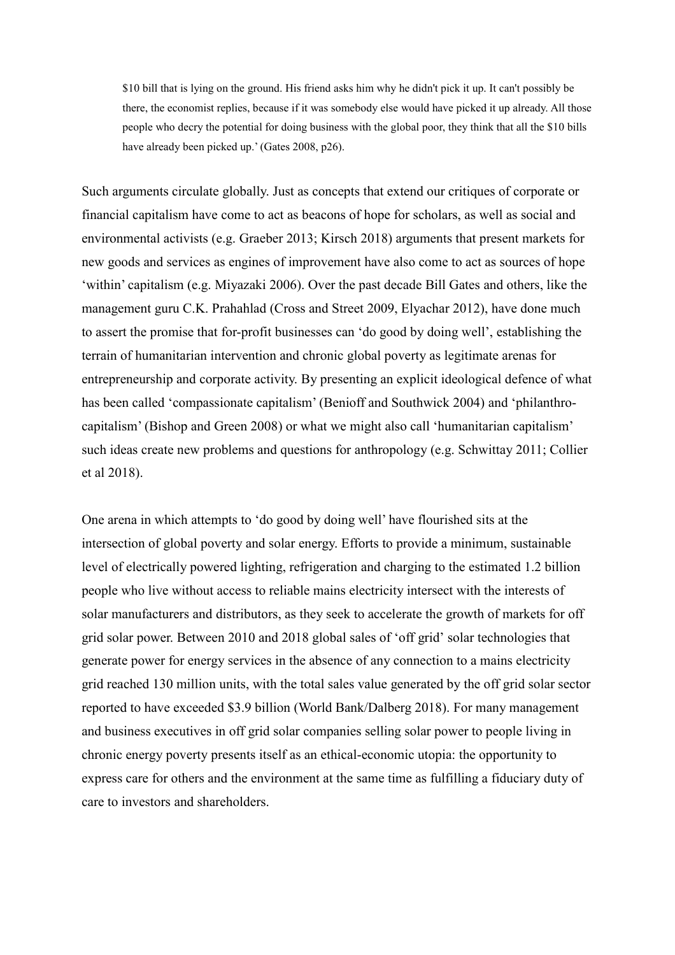\$10 bill that is lying on the ground. His friend asks him why he didn't pick it up. It can't possibly be there, the economist replies, because if it was somebody else would have picked it up already. All those people who decry the potential for doing business with the global poor, they think that all the \$10 bills have already been picked up.' (Gates 2008, p26).

Such arguments circulate globally. Just as concepts that extend our critiques of corporate or financial capitalism have come to act as beacons of hope for scholars, as well as social and environmental activists (e.g. Graeber 2013; Kirsch 2018) arguments that present markets for new goods and services as engines of improvement have also come to act as sources of hope 'within' capitalism (e.g. Miyazaki 2006). Over the past decade Bill Gates and others, like the management guru C.K. Prahahlad (Cross and Street 2009, Elyachar 2012), have done much to assert the promise that for-profit businesses can 'do good by doing well', establishing the terrain of humanitarian intervention and chronic global poverty as legitimate arenas for entrepreneurship and corporate activity. By presenting an explicit ideological defence of what has been called 'compassionate capitalism' (Benioff and Southwick 2004) and 'philanthrocapitalism' (Bishop and Green 2008) or what we might also call 'humanitarian capitalism' such ideas create new problems and questions for anthropology (e.g. Schwittay 2011; Collier et al 2018).

One arena in which attempts to 'do good by doing well' have flourished sits at the intersection of global poverty and solar energy. Efforts to provide a minimum, sustainable level of electrically powered lighting, refrigeration and charging to the estimated 1.2 billion people who live without access to reliable mains electricity intersect with the interests of solar manufacturers and distributors, as they seek to accelerate the growth of markets for off grid solar power. Between 2010 and 2018 global sales of 'off grid' solar technologies that generate power for energy services in the absence of any connection to a mains electricity grid reached 130 million units, with the total sales value generated by the off grid solar sector reported to have exceeded \$3.9 billion (World Bank/Dalberg 2018). For many management and business executives in off grid solar companies selling solar power to people living in chronic energy poverty presents itself as an ethical-economic utopia: the opportunity to express care for others and the environment at the same time as fulfilling a fiduciary duty of care to investors and shareholders.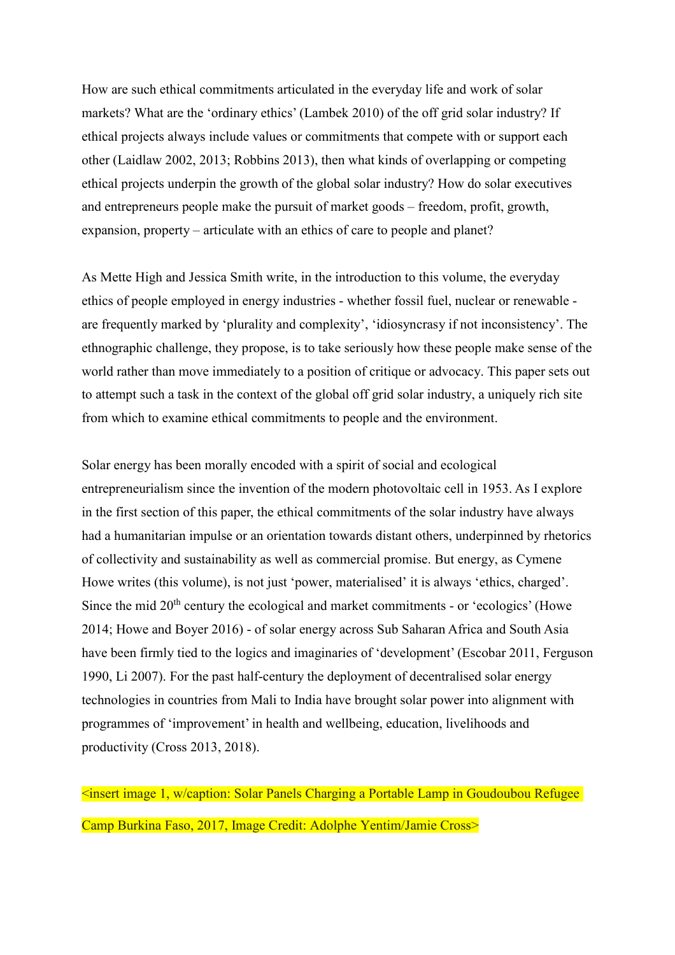How are such ethical commitments articulated in the everyday life and work of solar markets? What are the 'ordinary ethics' (Lambek 2010) of the off grid solar industry? If ethical projects always include values or commitments that compete with or support each other (Laidlaw 2002, 2013; Robbins 2013), then what kinds of overlapping or competing ethical projects underpin the growth of the global solar industry? How do solar executives and entrepreneurs people make the pursuit of market goods – freedom, profit, growth, expansion, property – articulate with an ethics of care to people and planet?

As Mette High and Jessica Smith write, in the introduction to this volume, the everyday ethics of people employed in energy industries - whether fossil fuel, nuclear or renewable are frequently marked by 'plurality and complexity', 'idiosyncrasy if not inconsistency'. The ethnographic challenge, they propose, is to take seriously how these people make sense of the world rather than move immediately to a position of critique or advocacy. This paper sets out to attempt such a task in the context of the global off grid solar industry, a uniquely rich site from which to examine ethical commitments to people and the environment.

Solar energy has been morally encoded with a spirit of social and ecological entrepreneurialism since the invention of the modern photovoltaic cell in 1953. As I explore in the first section of this paper, the ethical commitments of the solar industry have always had a humanitarian impulse or an orientation towards distant others, underpinned by rhetorics of collectivity and sustainability as well as commercial promise. But energy, as Cymene Howe writes (this volume), is not just 'power, materialised' it is always 'ethics, charged'. Since the mid  $20<sup>th</sup>$  century the ecological and market commitments - or 'ecologics' (Howe 2014; Howe and Boyer 2016) - of solar energy across Sub Saharan Africa and South Asia have been firmly tied to the logics and imaginaries of 'development' (Escobar 2011, Ferguson 1990, Li 2007). For the past half-century the deployment of decentralised solar energy technologies in countries from Mali to India have brought solar power into alignment with programmes of 'improvement' in health and wellbeing, education, livelihoods and productivity (Cross 2013, 2018).

<insert image 1, w/caption: Solar Panels Charging a Portable Lamp in Goudoubou Refugee Camp Burkina Faso, 2017, Image Credit: Adolphe Yentim/Jamie Cross>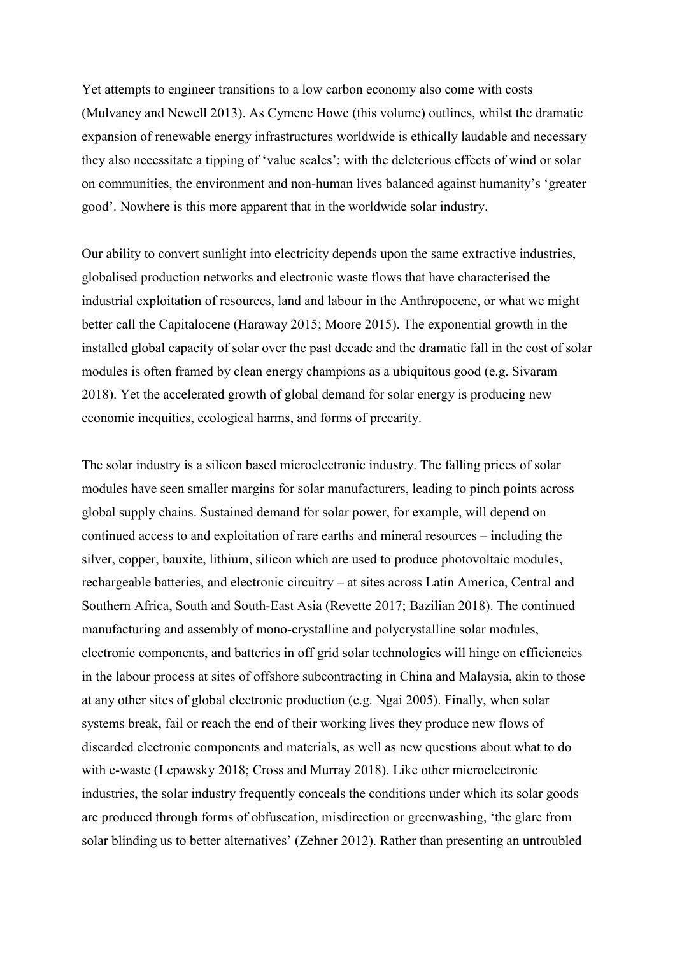Yet attempts to engineer transitions to a low carbon economy also come with costs (Mulvaney and Newell 2013). As Cymene Howe (this volume) outlines, whilst the dramatic expansion of renewable energy infrastructures worldwide is ethically laudable and necessary they also necessitate a tipping of 'value scales'; with the deleterious effects of wind or solar on communities, the environment and non-human lives balanced against humanity's 'greater good'. Nowhere is this more apparent that in the worldwide solar industry.

Our ability to convert sunlight into electricity depends upon the same extractive industries, globalised production networks and electronic waste flows that have characterised the industrial exploitation of resources, land and labour in the Anthropocene, or what we might better call the Capitalocene (Haraway 2015; Moore 2015). The exponential growth in the installed global capacity of solar over the past decade and the dramatic fall in the cost of solar modules is often framed by clean energy champions as a ubiquitous good (e.g. Sivaram 2018). Yet the accelerated growth of global demand for solar energy is producing new economic inequities, ecological harms, and forms of precarity.

The solar industry is a silicon based microelectronic industry. The falling prices of solar modules have seen smaller margins for solar manufacturers, leading to pinch points across global supply chains. Sustained demand for solar power, for example, will depend on continued access to and exploitation of rare earths and mineral resources – including the silver, copper, bauxite, lithium, silicon which are used to produce photovoltaic modules, rechargeable batteries, and electronic circuitry – at sites across Latin America, Central and Southern Africa, South and South-East Asia (Revette 2017; Bazilian 2018). The continued manufacturing and assembly of mono-crystalline and polycrystalline solar modules, electronic components, and batteries in off grid solar technologies will hinge on efficiencies in the labour process at sites of offshore subcontracting in China and Malaysia, akin to those at any other sites of global electronic production (e.g. Ngai 2005). Finally, when solar systems break, fail or reach the end of their working lives they produce new flows of discarded electronic components and materials, as well as new questions about what to do with e-waste (Lepawsky 2018; Cross and Murray 2018). Like other microelectronic industries, the solar industry frequently conceals the conditions under which its solar goods are produced through forms of obfuscation, misdirection or greenwashing, 'the glare from solar blinding us to better alternatives' (Zehner 2012). Rather than presenting an untroubled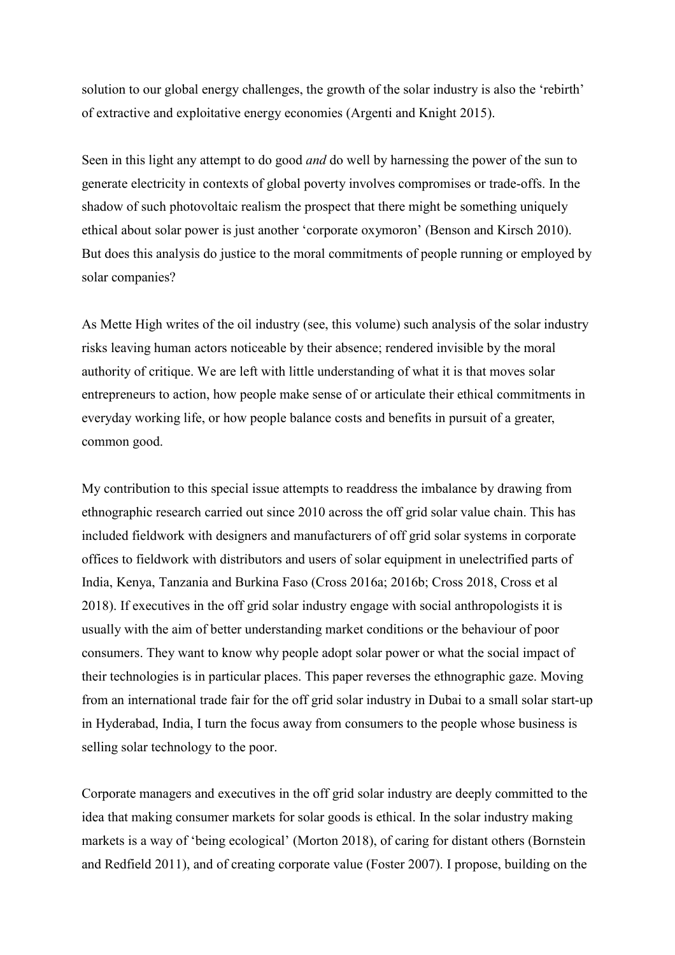solution to our global energy challenges, the growth of the solar industry is also the 'rebirth' of extractive and exploitative energy economies (Argenti and Knight 2015).

Seen in this light any attempt to do good *and* do well by harnessing the power of the sun to generate electricity in contexts of global poverty involves compromises or trade-offs. In the shadow of such photovoltaic realism the prospect that there might be something uniquely ethical about solar power is just another 'corporate oxymoron' (Benson and Kirsch 2010). But does this analysis do justice to the moral commitments of people running or employed by solar companies?

As Mette High writes of the oil industry (see, this volume) such analysis of the solar industry risks leaving human actors noticeable by their absence; rendered invisible by the moral authority of critique. We are left with little understanding of what it is that moves solar entrepreneurs to action, how people make sense of or articulate their ethical commitments in everyday working life, or how people balance costs and benefits in pursuit of a greater, common good.

My contribution to this special issue attempts to readdress the imbalance by drawing from ethnographic research carried out since 2010 across the off grid solar value chain. This has included fieldwork with designers and manufacturers of off grid solar systems in corporate offices to fieldwork with distributors and users of solar equipment in unelectrified parts of India, Kenya, Tanzania and Burkina Faso (Cross 2016a; 2016b; Cross 2018, Cross et al 2018). If executives in the off grid solar industry engage with social anthropologists it is usually with the aim of better understanding market conditions or the behaviour of poor consumers. They want to know why people adopt solar power or what the social impact of their technologies is in particular places. This paper reverses the ethnographic gaze. Moving from an international trade fair for the off grid solar industry in Dubai to a small solar start-up in Hyderabad, India, I turn the focus away from consumers to the people whose business is selling solar technology to the poor.

Corporate managers and executives in the off grid solar industry are deeply committed to the idea that making consumer markets for solar goods is ethical. In the solar industry making markets is a way of 'being ecological' (Morton 2018), of caring for distant others (Bornstein and Redfield 2011), and of creating corporate value (Foster 2007). I propose, building on the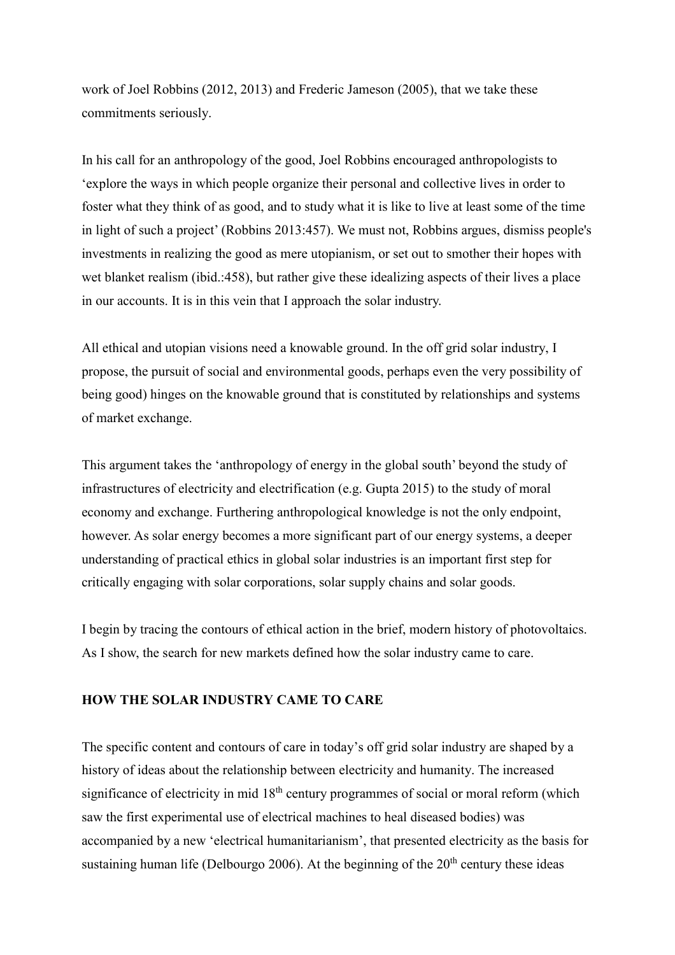work of Joel Robbins (2012, 2013) and Frederic Jameson (2005), that we take these commitments seriously.

In his call for an anthropology of the good, Joel Robbins encouraged anthropologists to 'explore the ways in which people organize their personal and collective lives in order to foster what they think of as good, and to study what it is like to live at least some of the time in light of such a project' (Robbins 2013:457). We must not, Robbins argues, dismiss people's investments in realizing the good as mere utopianism, or set out to smother their hopes with wet blanket realism (ibid.:458), but rather give these idealizing aspects of their lives a place in our accounts. It is in this vein that I approach the solar industry.

All ethical and utopian visions need a knowable ground. In the off grid solar industry, I propose, the pursuit of social and environmental goods, perhaps even the very possibility of being good) hinges on the knowable ground that is constituted by relationships and systems of market exchange.

This argument takes the 'anthropology of energy in the global south' beyond the study of infrastructures of electricity and electrification (e.g. Gupta 2015) to the study of moral economy and exchange. Furthering anthropological knowledge is not the only endpoint, however. As solar energy becomes a more significant part of our energy systems, a deeper understanding of practical ethics in global solar industries is an important first step for critically engaging with solar corporations, solar supply chains and solar goods.

I begin by tracing the contours of ethical action in the brief, modern history of photovoltaics. As I show, the search for new markets defined how the solar industry came to care.

# **HOW THE SOLAR INDUSTRY CAME TO CARE**

The specific content and contours of care in today's off grid solar industry are shaped by a history of ideas about the relationship between electricity and humanity. The increased significance of electricity in mid  $18<sup>th</sup>$  century programmes of social or moral reform (which saw the first experimental use of electrical machines to heal diseased bodies) was accompanied by a new 'electrical humanitarianism', that presented electricity as the basis for sustaining human life (Delbourgo 2006). At the beginning of the  $20<sup>th</sup>$  century these ideas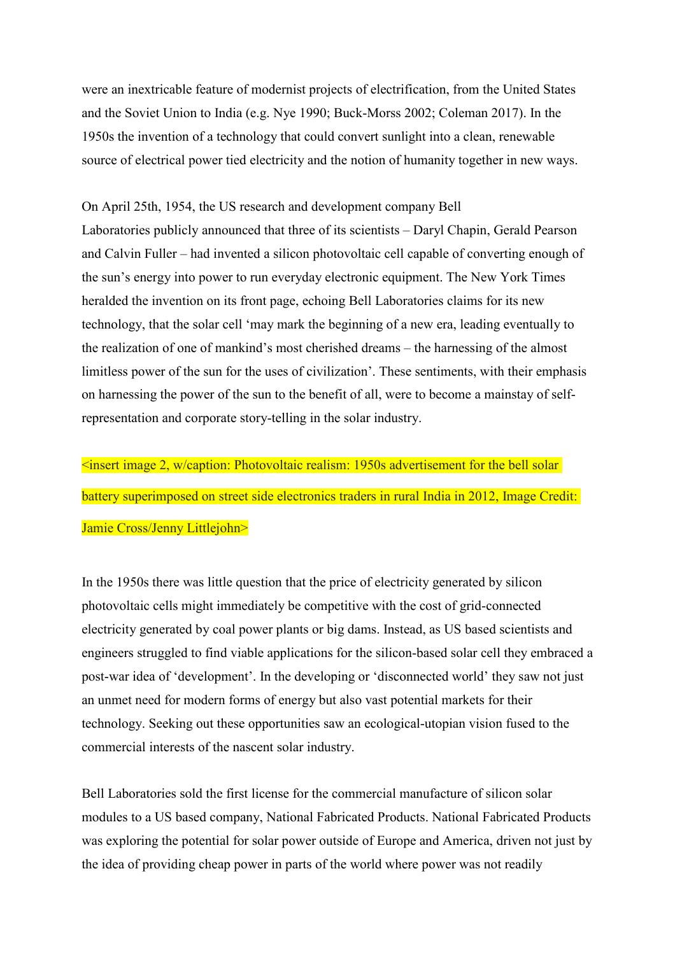were an inextricable feature of modernist projects of electrification, from the United States and the Soviet Union to India (e.g. Nye 1990; Buck-Morss 2002; Coleman 2017). In the 1950s the invention of a technology that could convert sunlight into a clean, renewable source of electrical power tied electricity and the notion of humanity together in new ways.

On April 25th, 1954, the US research and development company Bell Laboratories publicly announced that three of its scientists – Daryl Chapin, Gerald Pearson and Calvin Fuller – had invented a silicon photovoltaic cell capable of converting enough of the sun's energy into power to run everyday electronic equipment. The New York Times heralded the invention on its front page, echoing Bell Laboratories claims for its new technology, that the solar cell 'may mark the beginning of a new era, leading eventually to the realization of one of mankind's most cherished dreams – the harnessing of the almost limitless power of the sun for the uses of civilization'. These sentiments, with their emphasis on harnessing the power of the sun to the benefit of all, were to become a mainstay of selfrepresentation and corporate story-telling in the solar industry.

 $\leq$ insert image 2, w/caption: Photovoltaic realism: 1950s advertisement for the bell solar battery superimposed on street side electronics traders in rural India in 2012, Image Credit: Jamie Cross/Jenny Littlejohn>

In the 1950s there was little question that the price of electricity generated by silicon photovoltaic cells might immediately be competitive with the cost of grid-connected electricity generated by coal power plants or big dams. Instead, as US based scientists and engineers struggled to find viable applications for the silicon-based solar cell they embraced a post-war idea of 'development'. In the developing or 'disconnected world' they saw not just an unmet need for modern forms of energy but also vast potential markets for their technology. Seeking out these opportunities saw an ecological-utopian vision fused to the commercial interests of the nascent solar industry.

Bell Laboratories sold the first license for the commercial manufacture of silicon solar modules to a US based company, National Fabricated Products. National Fabricated Products was exploring the potential for solar power outside of Europe and America, driven not just by the idea of providing cheap power in parts of the world where power was not readily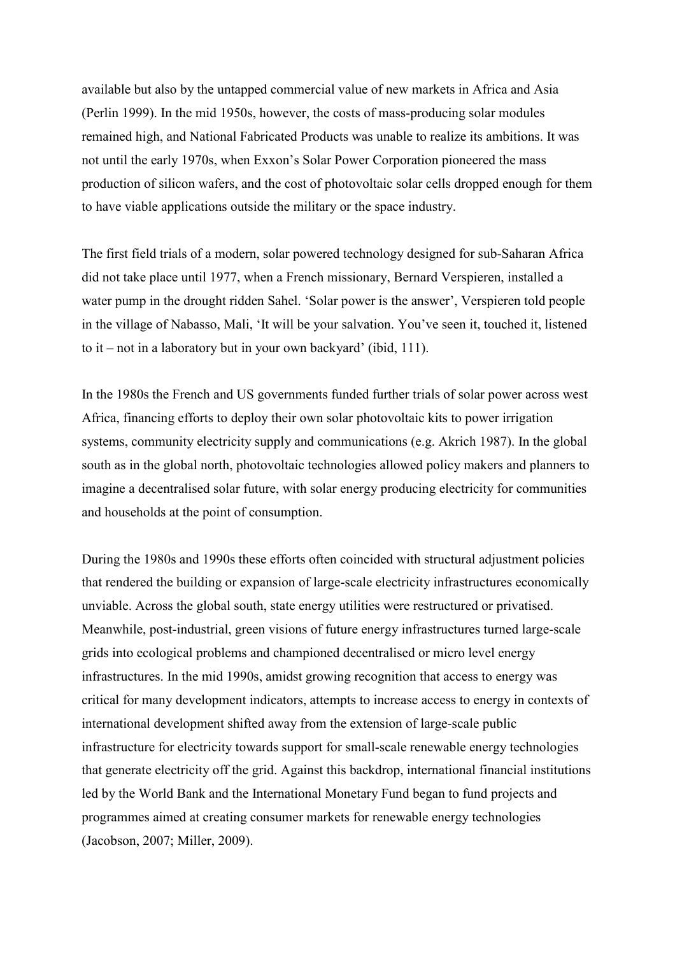available but also by the untapped commercial value of new markets in Africa and Asia (Perlin 1999). In the mid 1950s, however, the costs of mass-producing solar modules remained high, and National Fabricated Products was unable to realize its ambitions. It was not until the early 1970s, when Exxon's Solar Power Corporation pioneered the mass production of silicon wafers, and the cost of photovoltaic solar cells dropped enough for them to have viable applications outside the military or the space industry.

The first field trials of a modern, solar powered technology designed for sub-Saharan Africa did not take place until 1977, when a French missionary, Bernard Verspieren, installed a water pump in the drought ridden Sahel. 'Solar power is the answer', Verspieren told people in the village of Nabasso, Mali, 'It will be your salvation. You've seen it, touched it, listened to it – not in a laboratory but in your own backyard' (ibid, 111).

In the 1980s the French and US governments funded further trials of solar power across west Africa, financing efforts to deploy their own solar photovoltaic kits to power irrigation systems, community electricity supply and communications (e.g. Akrich 1987). In the global south as in the global north, photovoltaic technologies allowed policy makers and planners to imagine a decentralised solar future, with solar energy producing electricity for communities and households at the point of consumption.

During the 1980s and 1990s these efforts often coincided with structural adjustment policies that rendered the building or expansion of large-scale electricity infrastructures economically unviable. Across the global south, state energy utilities were restructured or privatised. Meanwhile, post-industrial, green visions of future energy infrastructures turned large-scale grids into ecological problems and championed decentralised or micro level energy infrastructures. In the mid 1990s, amidst growing recognition that access to energy was critical for many development indicators, attempts to increase access to energy in contexts of international development shifted away from the extension of large-scale public infrastructure for electricity towards support for small-scale renewable energy technologies that generate electricity off the grid. Against this backdrop, international financial institutions led by the World Bank and the International Monetary Fund began to fund projects and programmes aimed at creating consumer markets for renewable energy technologies (Jacobson, 2007; Miller, 2009).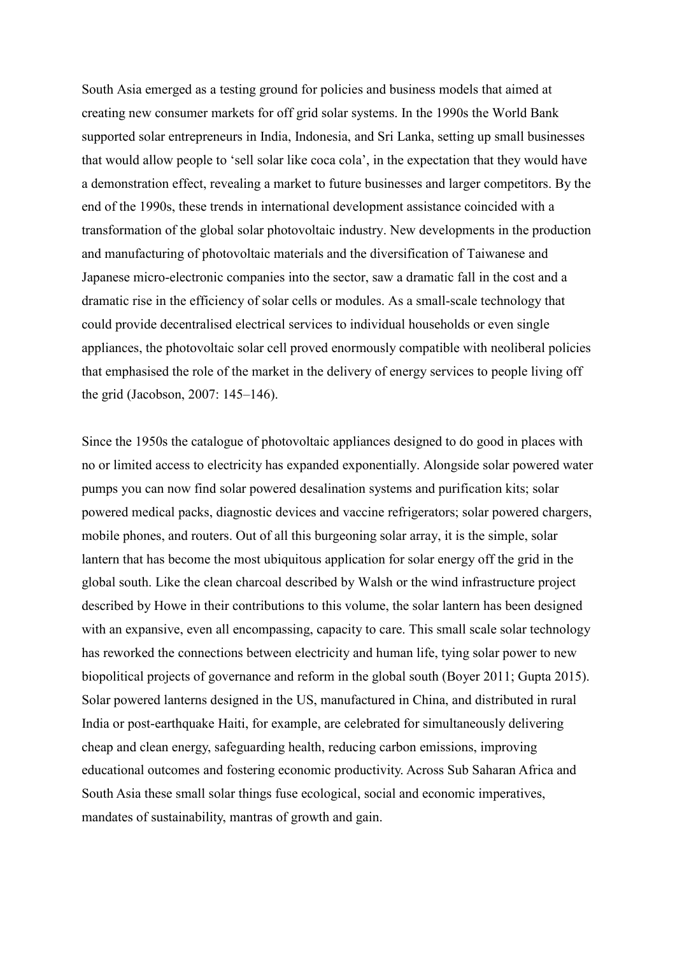South Asia emerged as a testing ground for policies and business models that aimed at creating new consumer markets for off grid solar systems. In the 1990s the World Bank supported solar entrepreneurs in India, Indonesia, and Sri Lanka, setting up small businesses that would allow people to 'sell solar like coca cola', in the expectation that they would have a demonstration effect, revealing a market to future businesses and larger competitors. By the end of the 1990s, these trends in international development assistance coincided with a transformation of the global solar photovoltaic industry. New developments in the production and manufacturing of photovoltaic materials and the diversification of Taiwanese and Japanese micro-electronic companies into the sector, saw a dramatic fall in the cost and a dramatic rise in the efficiency of solar cells or modules. As a small-scale technology that could provide decentralised electrical services to individual households or even single appliances, the photovoltaic solar cell proved enormously compatible with neoliberal policies that emphasised the role of the market in the delivery of energy services to people living off the grid (Jacobson, 2007: 145–146).

Since the 1950s the catalogue of photovoltaic appliances designed to do good in places with no or limited access to electricity has expanded exponentially. Alongside solar powered water pumps you can now find solar powered desalination systems and purification kits; solar powered medical packs, diagnostic devices and vaccine refrigerators; solar powered chargers, mobile phones, and routers. Out of all this burgeoning solar array, it is the simple, solar lantern that has become the most ubiquitous application for solar energy off the grid in the global south. Like the clean charcoal described by Walsh or the wind infrastructure project described by Howe in their contributions to this volume, the solar lantern has been designed with an expansive, even all encompassing, capacity to care. This small scale solar technology has reworked the connections between electricity and human life, tying solar power to new biopolitical projects of governance and reform in the global south (Boyer 2011; Gupta 2015). Solar powered lanterns designed in the US, manufactured in China, and distributed in rural India or post-earthquake Haiti, for example, are celebrated for simultaneously delivering cheap and clean energy, safeguarding health, reducing carbon emissions, improving educational outcomes and fostering economic productivity. Across Sub Saharan Africa and South Asia these small solar things fuse ecological, social and economic imperatives, mandates of sustainability, mantras of growth and gain.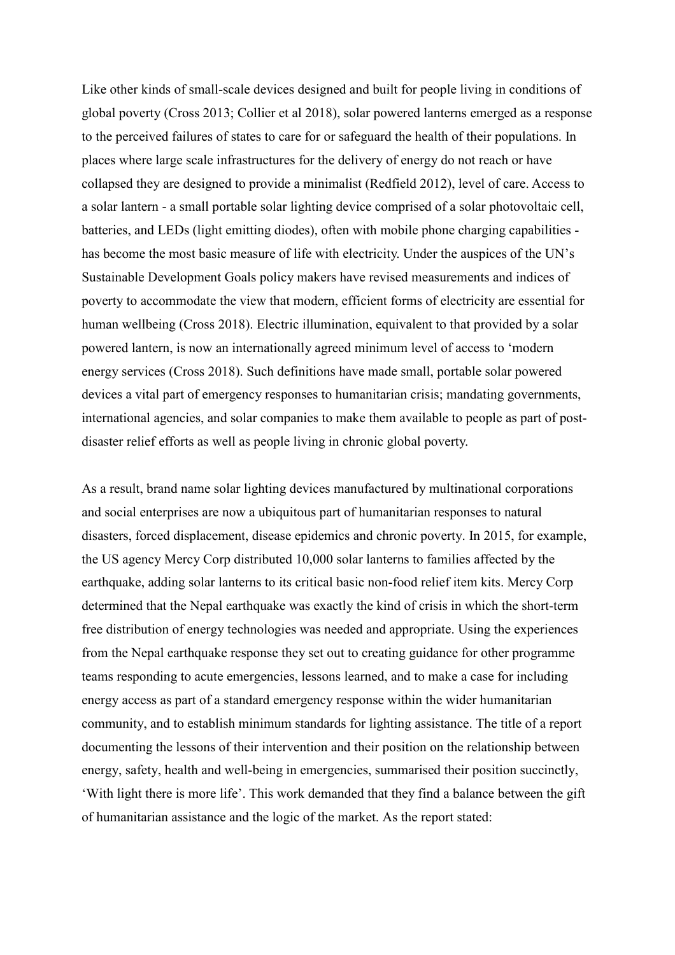Like other kinds of small-scale devices designed and built for people living in conditions of global poverty (Cross 2013; Collier et al 2018), solar powered lanterns emerged as a response to the perceived failures of states to care for or safeguard the health of their populations. In places where large scale infrastructures for the delivery of energy do not reach or have collapsed they are designed to provide a minimalist (Redfield 2012), level of care. Access to a solar lantern - a small portable solar lighting device comprised of a solar photovoltaic cell, batteries, and LEDs (light emitting diodes), often with mobile phone charging capabilities has become the most basic measure of life with electricity. Under the auspices of the UN's Sustainable Development Goals policy makers have revised measurements and indices of poverty to accommodate the view that modern, efficient forms of electricity are essential for human wellbeing (Cross 2018). Electric illumination, equivalent to that provided by a solar powered lantern, is now an internationally agreed minimum level of access to 'modern energy services (Cross 2018). Such definitions have made small, portable solar powered devices a vital part of emergency responses to humanitarian crisis; mandating governments, international agencies, and solar companies to make them available to people as part of postdisaster relief efforts as well as people living in chronic global poverty.

As a result, brand name solar lighting devices manufactured by multinational corporations and social enterprises are now a ubiquitous part of humanitarian responses to natural disasters, forced displacement, disease epidemics and chronic poverty. In 2015, for example, the US agency Mercy Corp distributed 10,000 solar lanterns to families affected by the earthquake, adding solar lanterns to its critical basic non-food relief item kits. Mercy Corp determined that the Nepal earthquake was exactly the kind of crisis in which the short-term free distribution of energy technologies was needed and appropriate. Using the experiences from the Nepal earthquake response they set out to creating guidance for other programme teams responding to acute emergencies, lessons learned, and to make a case for including energy access as part of a standard emergency response within the wider humanitarian community, and to establish minimum standards for lighting assistance. The title of a report documenting the lessons of their intervention and their position on the relationship between energy, safety, health and well-being in emergencies, summarised their position succinctly, 'With light there is more life'. This work demanded that they find a balance between the gift of humanitarian assistance and the logic of the market. As the report stated: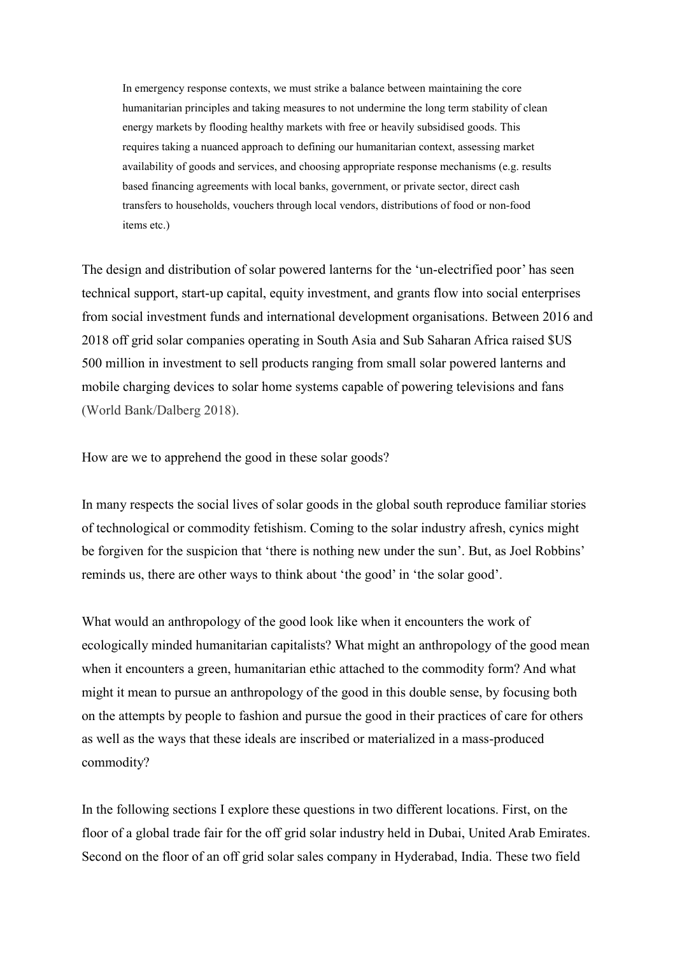In emergency response contexts, we must strike a balance between maintaining the core humanitarian principles and taking measures to not undermine the long term stability of clean energy markets by flooding healthy markets with free or heavily subsidised goods. This requires taking a nuanced approach to defining our humanitarian context, assessing market availability of goods and services, and choosing appropriate response mechanisms (e.g. results based financing agreements with local banks, government, or private sector, direct cash transfers to households, vouchers through local vendors, distributions of food or non-food items etc.)

The design and distribution of solar powered lanterns for the 'un-electrified poor' has seen technical support, start-up capital, equity investment, and grants flow into social enterprises from social investment funds and international development organisations. Between 2016 and 2018 off grid solar companies operating in South Asia and Sub Saharan Africa raised \$US 500 million in investment to sell products ranging from small solar powered lanterns and mobile charging devices to solar home systems capable of powering televisions and fans (World Bank/Dalberg 2018).

How are we to apprehend the good in these solar goods?

In many respects the social lives of solar goods in the global south reproduce familiar stories of technological or commodity fetishism. Coming to the solar industry afresh, cynics might be forgiven for the suspicion that 'there is nothing new under the sun'. But, as Joel Robbins' reminds us, there are other ways to think about 'the good' in 'the solar good'.

What would an anthropology of the good look like when it encounters the work of ecologically minded humanitarian capitalists? What might an anthropology of the good mean when it encounters a green, humanitarian ethic attached to the commodity form? And what might it mean to pursue an anthropology of the good in this double sense, by focusing both on the attempts by people to fashion and pursue the good in their practices of care for others as well as the ways that these ideals are inscribed or materialized in a mass-produced commodity?

In the following sections I explore these questions in two different locations. First, on the floor of a global trade fair for the off grid solar industry held in Dubai, United Arab Emirates. Second on the floor of an off grid solar sales company in Hyderabad, India. These two field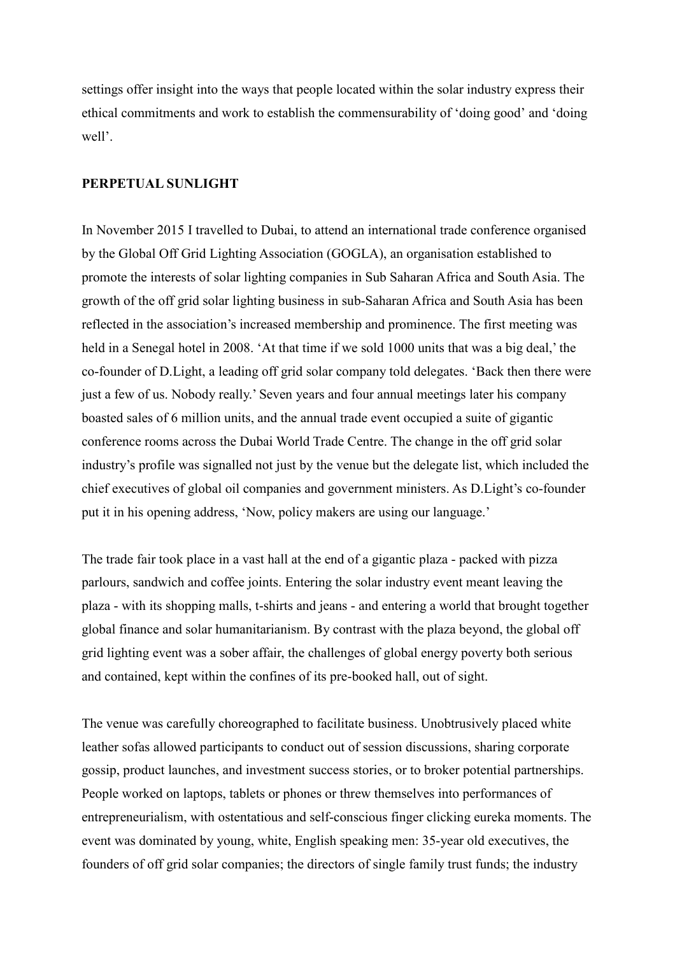settings offer insight into the ways that people located within the solar industry express their ethical commitments and work to establish the commensurability of 'doing good' and 'doing well'.

#### **PERPETUAL SUNLIGHT**

In November 2015 I travelled to Dubai, to attend an international trade conference organised by the Global Off Grid Lighting Association (GOGLA), an organisation established to promote the interests of solar lighting companies in Sub Saharan Africa and South Asia. The growth of the off grid solar lighting business in sub-Saharan Africa and South Asia has been reflected in the association's increased membership and prominence. The first meeting was held in a Senegal hotel in 2008. 'At that time if we sold 1000 units that was a big deal,' the co-founder of D.Light, a leading off grid solar company told delegates. 'Back then there were just a few of us. Nobody really.' Seven years and four annual meetings later his company boasted sales of 6 million units, and the annual trade event occupied a suite of gigantic conference rooms across the Dubai World Trade Centre. The change in the off grid solar industry's profile was signalled not just by the venue but the delegate list, which included the chief executives of global oil companies and government ministers. As D.Light's co-founder put it in his opening address, 'Now, policy makers are using our language.'

The trade fair took place in a vast hall at the end of a gigantic plaza - packed with pizza parlours, sandwich and coffee joints. Entering the solar industry event meant leaving the plaza - with its shopping malls, t-shirts and jeans - and entering a world that brought together global finance and solar humanitarianism. By contrast with the plaza beyond, the global off grid lighting event was a sober affair, the challenges of global energy poverty both serious and contained, kept within the confines of its pre-booked hall, out of sight.

The venue was carefully choreographed to facilitate business. Unobtrusively placed white leather sofas allowed participants to conduct out of session discussions, sharing corporate gossip, product launches, and investment success stories, or to broker potential partnerships. People worked on laptops, tablets or phones or threw themselves into performances of entrepreneurialism, with ostentatious and self-conscious finger clicking eureka moments. The event was dominated by young, white, English speaking men: 35-year old executives, the founders of off grid solar companies; the directors of single family trust funds; the industry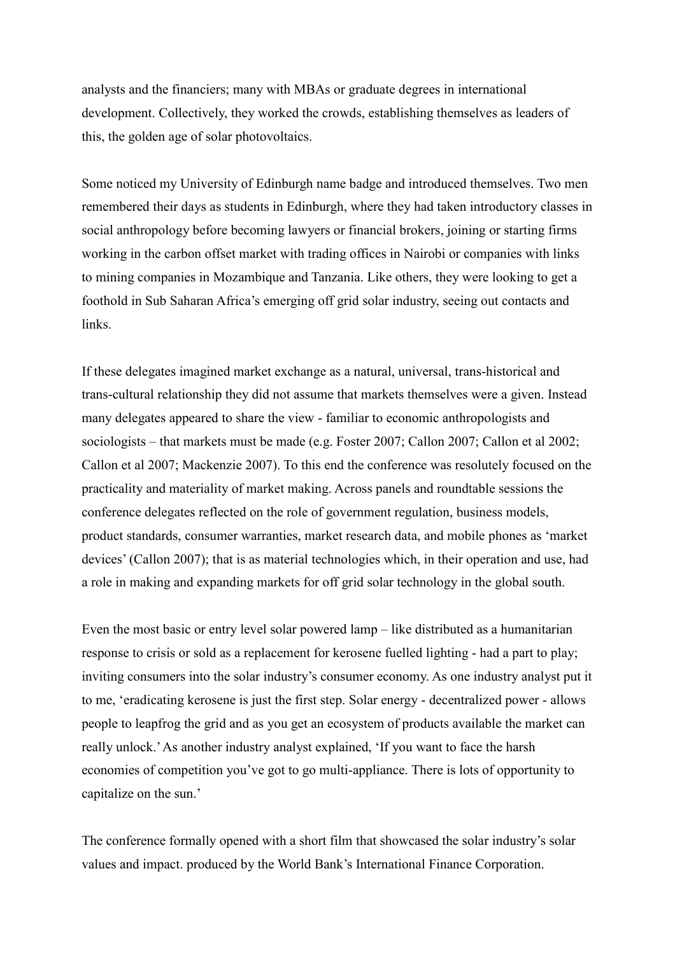analysts and the financiers; many with MBAs or graduate degrees in international development. Collectively, they worked the crowds, establishing themselves as leaders of this, the golden age of solar photovoltaics.

Some noticed my University of Edinburgh name badge and introduced themselves. Two men remembered their days as students in Edinburgh, where they had taken introductory classes in social anthropology before becoming lawyers or financial brokers, joining or starting firms working in the carbon offset market with trading offices in Nairobi or companies with links to mining companies in Mozambique and Tanzania. Like others, they were looking to get a foothold in Sub Saharan Africa's emerging off grid solar industry, seeing out contacts and links.

If these delegates imagined market exchange as a natural, universal, trans-historical and trans-cultural relationship they did not assume that markets themselves were a given. Instead many delegates appeared to share the view - familiar to economic anthropologists and sociologists – that markets must be made (e.g. Foster 2007; Callon 2007; Callon et al 2002; Callon et al 2007; Mackenzie 2007). To this end the conference was resolutely focused on the practicality and materiality of market making. Across panels and roundtable sessions the conference delegates reflected on the role of government regulation, business models, product standards, consumer warranties, market research data, and mobile phones as 'market devices' (Callon 2007); that is as material technologies which, in their operation and use, had a role in making and expanding markets for off grid solar technology in the global south.

Even the most basic or entry level solar powered lamp – like distributed as a humanitarian response to crisis or sold as a replacement for kerosene fuelled lighting - had a part to play; inviting consumers into the solar industry's consumer economy. As one industry analyst put it to me, 'eradicating kerosene is just the first step. Solar energy - decentralized power - allows people to leapfrog the grid and as you get an ecosystem of products available the market can really unlock.' As another industry analyst explained, 'If you want to face the harsh economies of competition you've got to go multi-appliance. There is lots of opportunity to capitalize on the sun.'

The conference formally opened with a short film that showcased the solar industry's solar values and impact. produced by the World Bank's International Finance Corporation.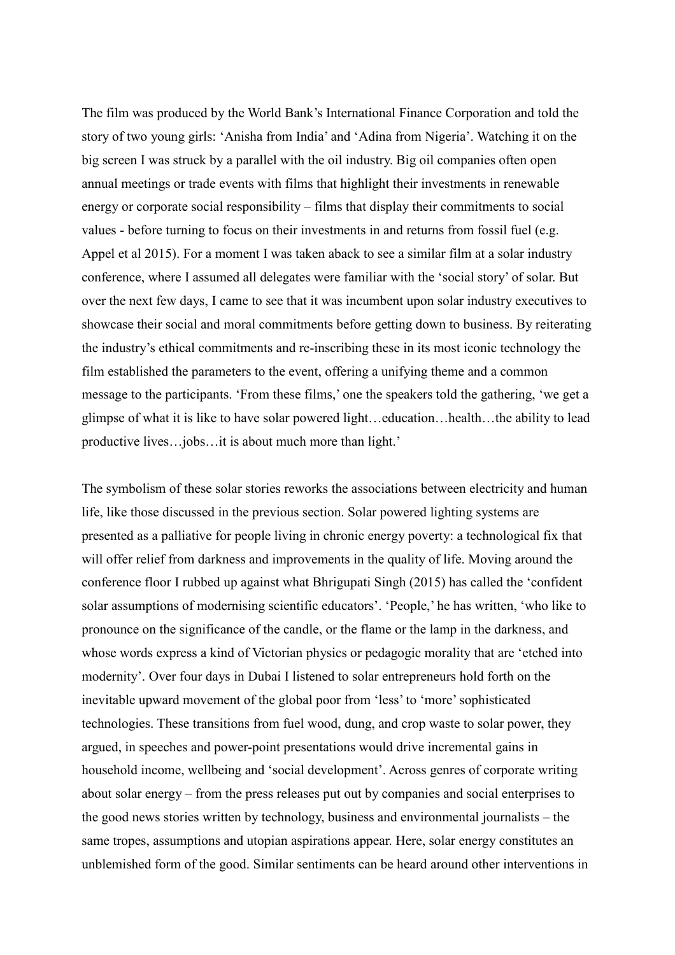The film was produced by the World Bank's International Finance Corporation and told the story of two young girls: 'Anisha from India' and 'Adina from Nigeria'. Watching it on the big screen I was struck by a parallel with the oil industry. Big oil companies often open annual meetings or trade events with films that highlight their investments in renewable energy or corporate social responsibility – films that display their commitments to social values - before turning to focus on their investments in and returns from fossil fuel (e.g. Appel et al 2015). For a moment I was taken aback to see a similar film at a solar industry conference, where I assumed all delegates were familiar with the 'social story' of solar. But over the next few days, I came to see that it was incumbent upon solar industry executives to showcase their social and moral commitments before getting down to business. By reiterating the industry's ethical commitments and re-inscribing these in its most iconic technology the film established the parameters to the event, offering a unifying theme and a common message to the participants. 'From these films,' one the speakers told the gathering, 'we get a glimpse of what it is like to have solar powered light…education…health…the ability to lead productive lives…jobs…it is about much more than light.'

The symbolism of these solar stories reworks the associations between electricity and human life, like those discussed in the previous section. Solar powered lighting systems are presented as a palliative for people living in chronic energy poverty: a technological fix that will offer relief from darkness and improvements in the quality of life. Moving around the conference floor I rubbed up against what Bhrigupati Singh (2015) has called the 'confident solar assumptions of modernising scientific educators'. 'People,' he has written, 'who like to pronounce on the significance of the candle, or the flame or the lamp in the darkness, and whose words express a kind of Victorian physics or pedagogic morality that are 'etched into modernity'. Over four days in Dubai I listened to solar entrepreneurs hold forth on the inevitable upward movement of the global poor from 'less' to 'more'sophisticated technologies. These transitions from fuel wood, dung, and crop waste to solar power, they argued, in speeches and power-point presentations would drive incremental gains in household income, wellbeing and 'social development'. Across genres of corporate writing about solar energy – from the press releases put out by companies and social enterprises to the good news stories written by technology, business and environmental journalists – the same tropes, assumptions and utopian aspirations appear. Here, solar energy constitutes an unblemished form of the good. Similar sentiments can be heard around other interventions in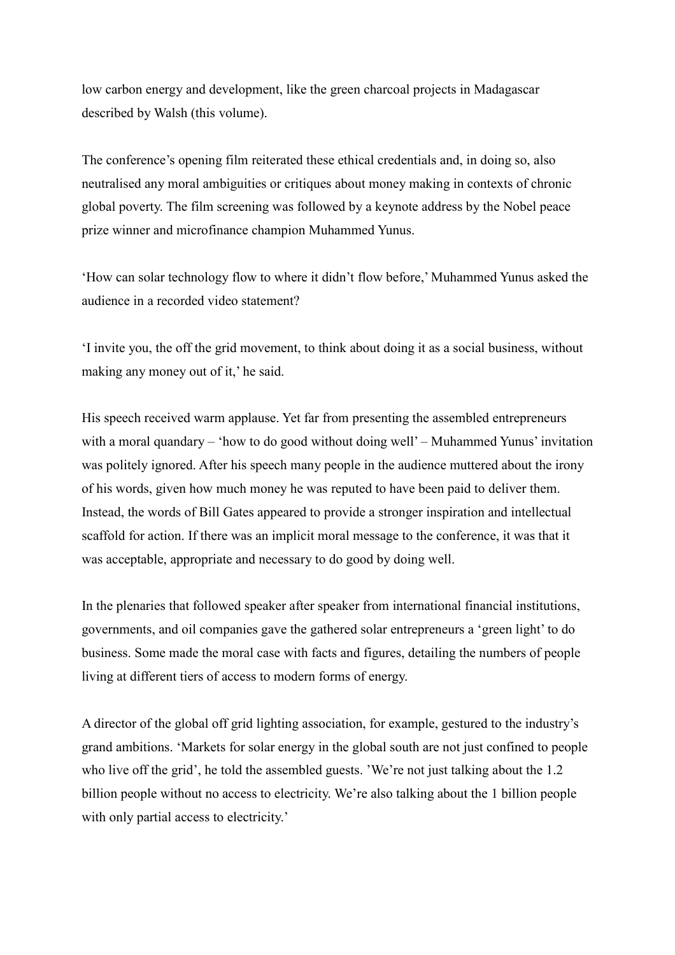low carbon energy and development, like the green charcoal projects in Madagascar described by Walsh (this volume).

The conference's opening film reiterated these ethical credentials and, in doing so, also neutralised any moral ambiguities or critiques about money making in contexts of chronic global poverty. The film screening was followed by a keynote address by the Nobel peace prize winner and microfinance champion Muhammed Yunus.

'How can solar technology flow to where it didn't flow before,' Muhammed Yunus asked the audience in a recorded video statement?

'I invite you, the off the grid movement, to think about doing it as a social business, without making any money out of it,' he said.

His speech received warm applause. Yet far from presenting the assembled entrepreneurs with a moral quandary – 'how to do good without doing well' – Muhammed Yunus' invitation was politely ignored. After his speech many people in the audience muttered about the irony of his words, given how much money he was reputed to have been paid to deliver them. Instead, the words of Bill Gates appeared to provide a stronger inspiration and intellectual scaffold for action. If there was an implicit moral message to the conference, it was that it was acceptable, appropriate and necessary to do good by doing well.

In the plenaries that followed speaker after speaker from international financial institutions, governments, and oil companies gave the gathered solar entrepreneurs a 'green light' to do business. Some made the moral case with facts and figures, detailing the numbers of people living at different tiers of access to modern forms of energy.

A director of the global off grid lighting association, for example, gestured to the industry's grand ambitions. 'Markets for solar energy in the global south are not just confined to people who live off the grid', he told the assembled guests. 'We're not just talking about the 1.2 billion people without no access to electricity. We're also talking about the 1 billion people with only partial access to electricity.'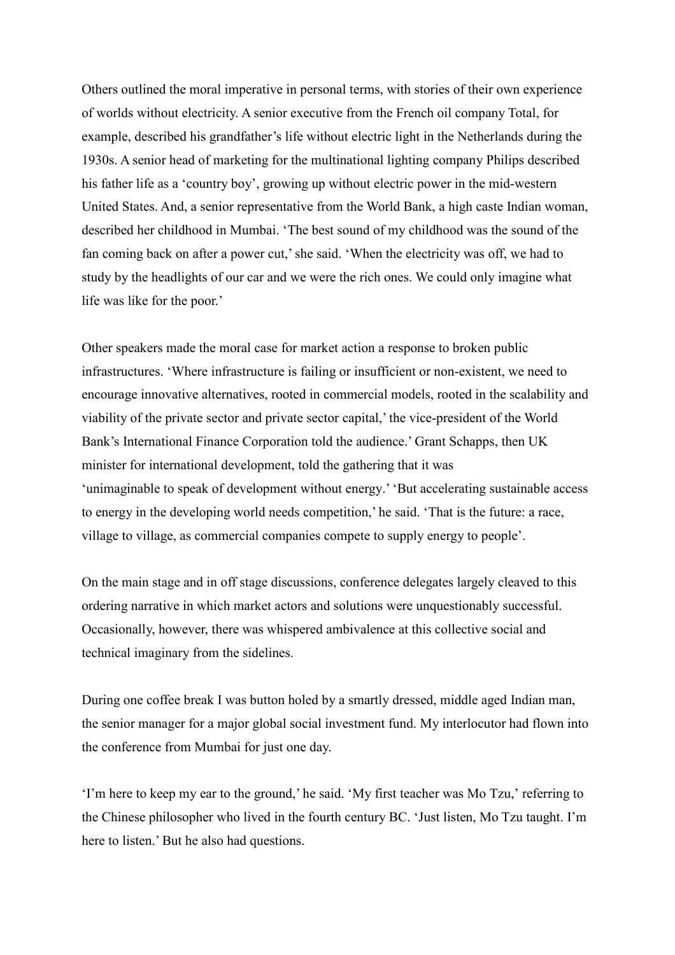Others outlined the moral imperative in personal terms, with stories of their own experience of worlds without electricity. A senior executive from the French oil company Total, for example, described his grandfather's life without electric light in the Netherlands during the 1930s. A senior head of marketing for the multinational lighting company Philips described his father life as a 'country boy', growing up without electric power in the mid-western United States. And, a senior representative from the World Bank, a high caste Indian woman, described her childhood in Mumbai. 'The best sound of my childhood was the sound of the fan coming back on after a power cut,' she said. 'When the electricity was off, we had to study by the headlights of our car and we were the rich ones. We could only imagine what life was like for the poor.'

Other speakers made the moral case for market action a response to broken public infrastructures. 'Where infrastructure is failing or insufficient or non-existent, we need to encourage innovative alternatives, rooted in commercial models, rooted in the scalability and viability of the private sector and private sector capital,' the vice-president of the World Bank's International Finance Corporation told the audience.' Grant Schapps, then UK minister for international development, told the gathering that it was 'unimaginable to speak of development without energy.' 'But accelerating sustainable access to energy in the developing world needs competition,' he said. 'That is the future: a race, village to village, as commercial companies compete to supply energy to people'.

On the main stage and in off stage discussions, conference delegates largely cleaved to this ordering narrative in which market actors and solutions were unquestionably successful. Occasionally, however, there was whispered ambivalence at this collective social and technical imaginary from the sidelines.

During one coffee break I was button holed by a smartly dressed, middle aged Indian man, the senior manager for a major global social investment fund. My interlocutor had flown into the conference from Mumbai for just one day.

'I'm here to keep my ear to the ground,' he said. 'My first teacher was Mo Tzu,' referring to the Chinese philosopher who lived in the fourth century BC. 'Just listen, Mo Tzu taught. I'm here to listen.' But he also had questions.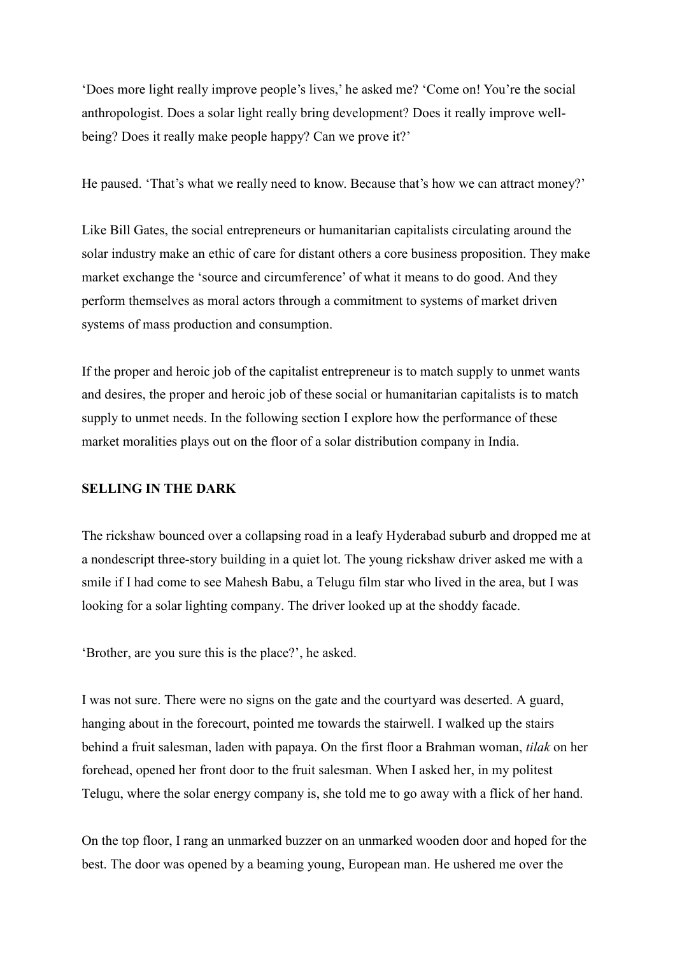'Does more light really improve people's lives,' he asked me? 'Come on! You're the social anthropologist. Does a solar light really bring development? Does it really improve wellbeing? Does it really make people happy? Can we prove it?'

He paused. 'That's what we really need to know. Because that's how we can attract money?'

Like Bill Gates, the social entrepreneurs or humanitarian capitalists circulating around the solar industry make an ethic of care for distant others a core business proposition. They make market exchange the 'source and circumference' of what it means to do good. And they perform themselves as moral actors through a commitment to systems of market driven systems of mass production and consumption.

If the proper and heroic job of the capitalist entrepreneur is to match supply to unmet wants and desires, the proper and heroic job of these social or humanitarian capitalists is to match supply to unmet needs. In the following section I explore how the performance of these market moralities plays out on the floor of a solar distribution company in India.

#### **SELLING IN THE DARK**

The rickshaw bounced over a collapsing road in a leafy Hyderabad suburb and dropped me at a nondescript three-story building in a quiet lot. The young rickshaw driver asked me with a smile if I had come to see Mahesh Babu, a Telugu film star who lived in the area, but I was looking for a solar lighting company. The driver looked up at the shoddy facade.

'Brother, are you sure this is the place?', he asked.

I was not sure. There were no signs on the gate and the courtyard was deserted. A guard, hanging about in the forecourt, pointed me towards the stairwell. I walked up the stairs behind a fruit salesman, laden with papaya. On the first floor a Brahman woman, *tilak* on her forehead, opened her front door to the fruit salesman. When I asked her, in my politest Telugu, where the solar energy company is, she told me to go away with a flick of her hand.

On the top floor, I rang an unmarked buzzer on an unmarked wooden door and hoped for the best. The door was opened by a beaming young, European man. He ushered me over the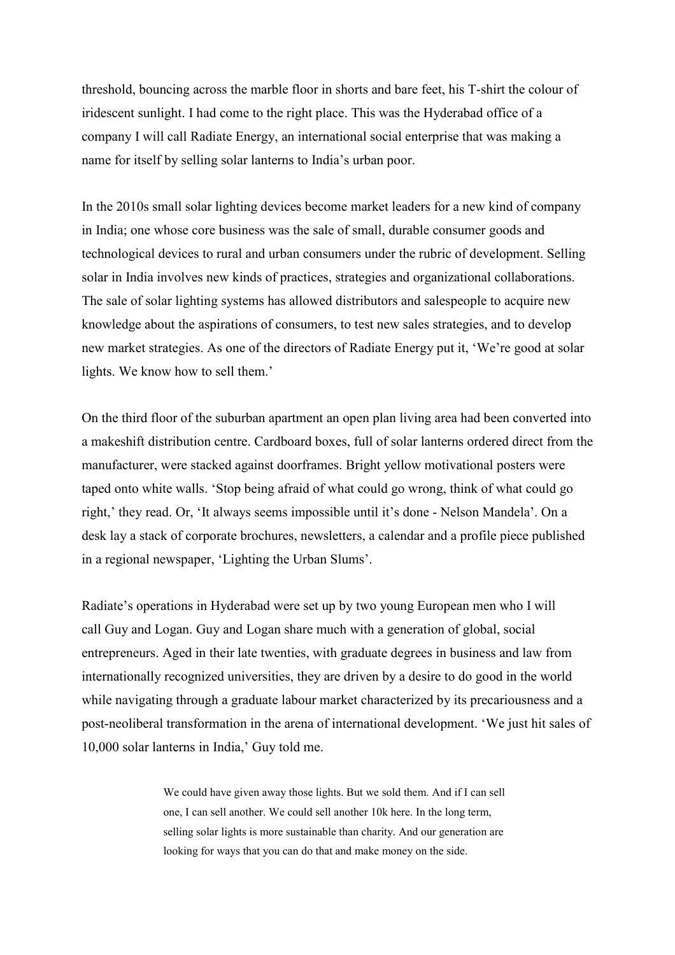threshold, bouncing across the marble floor in shorts and bare feet, his T-shirt the colour of iridescent sunlight. I had come to the right place. This was the Hyderabad office of a company I will call Radiate Energy, an international social enterprise that was making a name for itself by selling solar lanterns to India's urban poor.

In the 2010s small solar lighting devices become market leaders for a new kind of company in India; one whose core business was the sale of small, durable consumer goods and technological devices to rural and urban consumers under the rubric of development. Selling solar in India involves new kinds of practices, strategies and organizational collaborations. The sale of solar lighting systems has allowed distributors and salespeople to acquire new knowledge about the aspirations of consumers, to test new sales strategies, and to develop new market strategies. As one of the directors of Radiate Energy put it, 'We're good at solar lights. We know how to sell them.'

On the third floor of the suburban apartment an open plan living area had been converted into a makeshift distribution centre. Cardboard boxes, full of solar lanterns ordered direct from the manufacturer, were stacked against doorframes. Bright yellow motivational posters were taped onto white walls. 'Stop being afraid of what could go wrong, think of what could go right,' they read. Or, 'It always seems impossible until it's done - Nelson Mandela'. On a desk lay a stack of corporate brochures, newsletters, a calendar and a profile piece published in a regional newspaper, 'Lighting the Urban Slums'.

Radiate's operations in Hyderabad were set up by two young European men who I will call Guy and Logan. Guy and Logan share much with a generation of global, social entrepreneurs. Aged in their late twenties, with graduate degrees in business and law from internationally recognized universities, they are driven by a desire to do good in the world while navigating through a graduate labour market characterized by its precariousness and a post-neoliberal transformation in the arena of international development. 'We just hit sales of 10,000 solar lanterns in India,' Guy told me.

> We could have given away those lights. But we sold them. And if I can sell one, I can sell another. We could sell another 10k here. In the long term, selling solar lights is more sustainable than charity. And our generation are looking for ways that you can do that and make money on the side.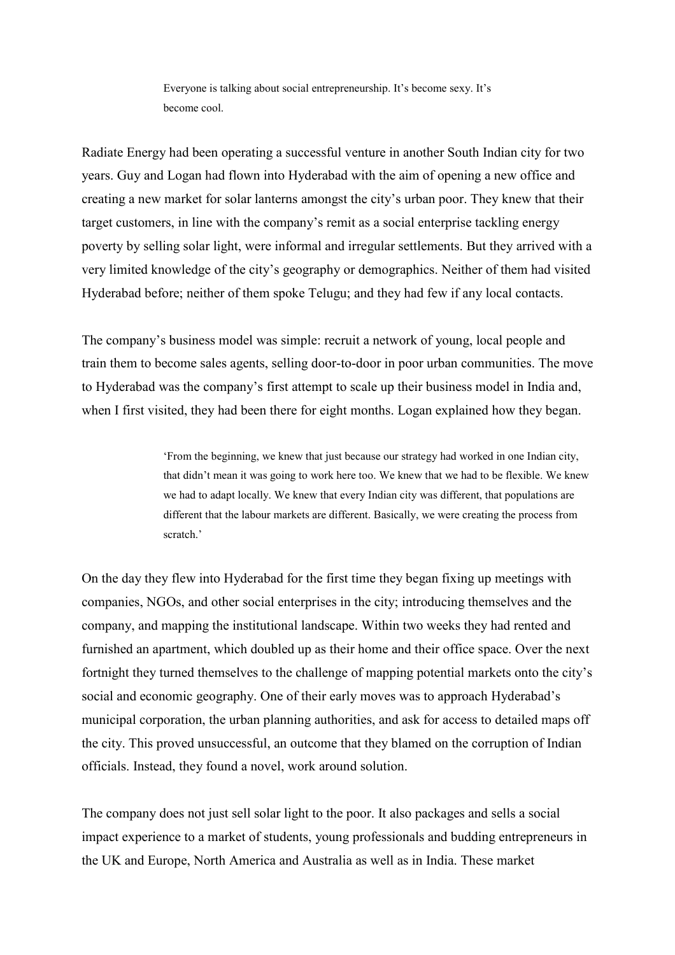Everyone is talking about social entrepreneurship. It's become sexy. It's become cool.

Radiate Energy had been operating a successful venture in another South Indian city for two years. Guy and Logan had flown into Hyderabad with the aim of opening a new office and creating a new market for solar lanterns amongst the city's urban poor. They knew that their target customers, in line with the company's remit as a social enterprise tackling energy poverty by selling solar light, were informal and irregular settlements. But they arrived with a very limited knowledge of the city's geography or demographics. Neither of them had visited Hyderabad before; neither of them spoke Telugu; and they had few if any local contacts.

The company's business model was simple: recruit a network of young, local people and train them to become sales agents, selling door-to-door in poor urban communities. The move to Hyderabad was the company's first attempt to scale up their business model in India and, when I first visited, they had been there for eight months. Logan explained how they began.

> 'From the beginning, we knew that just because our strategy had worked in one Indian city, that didn't mean it was going to work here too. We knew that we had to be flexible. We knew we had to adapt locally. We knew that every Indian city was different, that populations are different that the labour markets are different. Basically, we were creating the process from scratch.'

On the day they flew into Hyderabad for the first time they began fixing up meetings with companies, NGOs, and other social enterprises in the city; introducing themselves and the company, and mapping the institutional landscape. Within two weeks they had rented and furnished an apartment, which doubled up as their home and their office space. Over the next fortnight they turned themselves to the challenge of mapping potential markets onto the city's social and economic geography. One of their early moves was to approach Hyderabad's municipal corporation, the urban planning authorities, and ask for access to detailed maps off the city. This proved unsuccessful, an outcome that they blamed on the corruption of Indian officials. Instead, they found a novel, work around solution.

The company does not just sell solar light to the poor. It also packages and sells a social impact experience to a market of students, young professionals and budding entrepreneurs in the UK and Europe, North America and Australia as well as in India. These market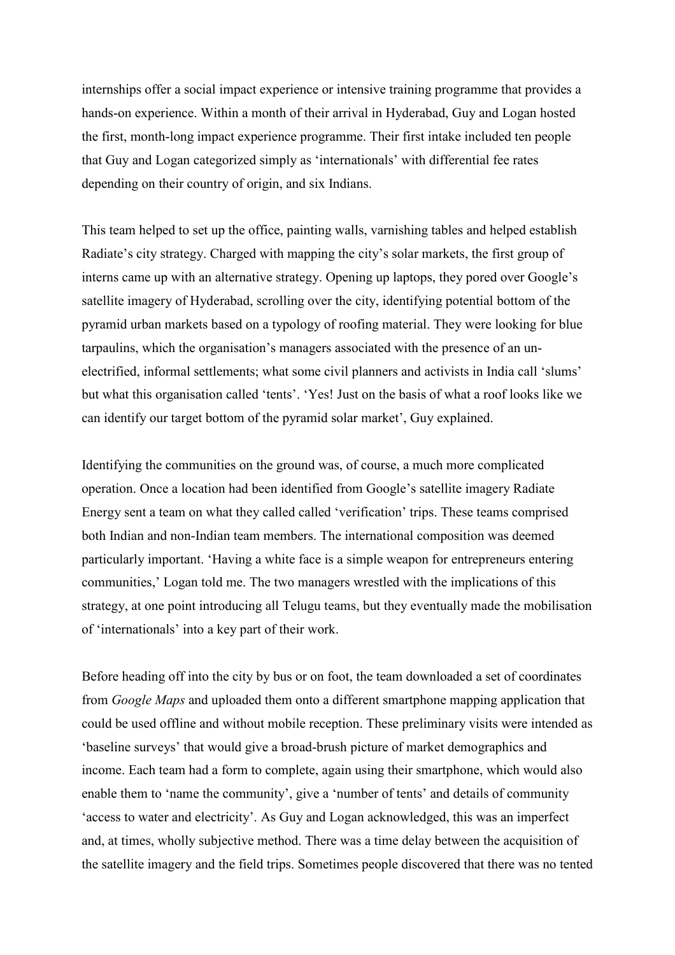internships offer a social impact experience or intensive training programme that provides a hands-on experience. Within a month of their arrival in Hyderabad, Guy and Logan hosted the first, month-long impact experience programme. Their first intake included ten people that Guy and Logan categorized simply as 'internationals' with differential fee rates depending on their country of origin, and six Indians.

This team helped to set up the office, painting walls, varnishing tables and helped establish Radiate's city strategy. Charged with mapping the city's solar markets, the first group of interns came up with an alternative strategy. Opening up laptops, they pored over Google's satellite imagery of Hyderabad, scrolling over the city, identifying potential bottom of the pyramid urban markets based on a typology of roofing material. They were looking for blue tarpaulins, which the organisation's managers associated with the presence of an unelectrified, informal settlements; what some civil planners and activists in India call 'slums' but what this organisation called 'tents'. 'Yes! Just on the basis of what a roof looks like we can identify our target bottom of the pyramid solar market', Guy explained.

Identifying the communities on the ground was, of course, a much more complicated operation. Once a location had been identified from Google's satellite imagery Radiate Energy sent a team on what they called called 'verification' trips. These teams comprised both Indian and non-Indian team members. The international composition was deemed particularly important. 'Having a white face is a simple weapon for entrepreneurs entering communities,' Logan told me. The two managers wrestled with the implications of this strategy, at one point introducing all Telugu teams, but they eventually made the mobilisation of 'internationals' into a key part of their work.

Before heading off into the city by bus or on foot, the team downloaded a set of coordinates from *Google Maps* and uploaded them onto a different smartphone mapping application that could be used offline and without mobile reception. These preliminary visits were intended as 'baseline surveys' that would give a broad-brush picture of market demographics and income. Each team had a form to complete, again using their smartphone, which would also enable them to 'name the community', give a 'number of tents' and details of community 'access to water and electricity'. As Guy and Logan acknowledged, this was an imperfect and, at times, wholly subjective method. There was a time delay between the acquisition of the satellite imagery and the field trips. Sometimes people discovered that there was no tented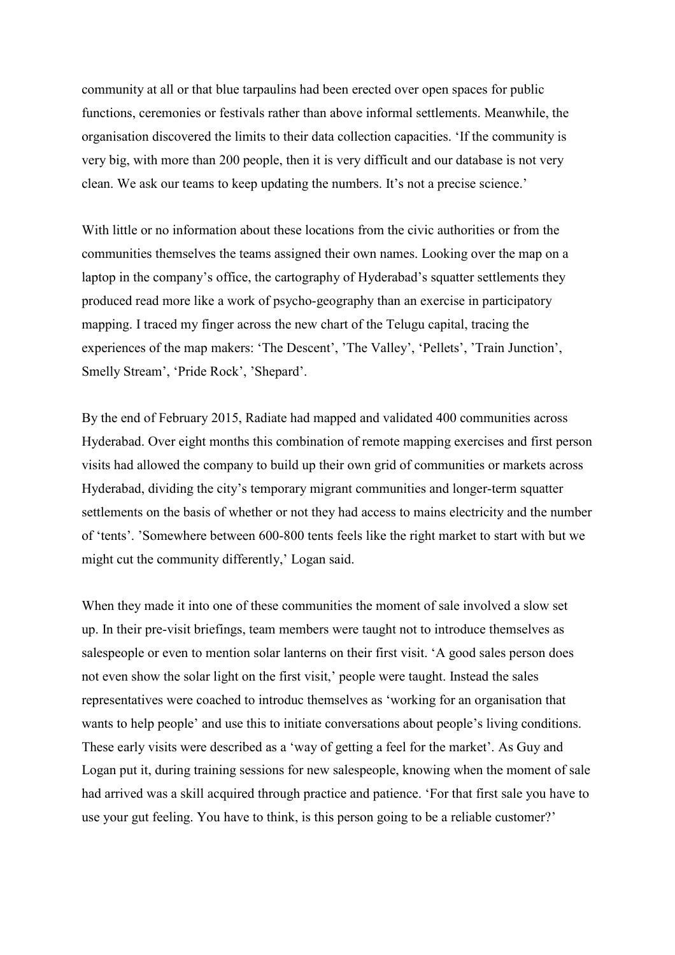community at all or that blue tarpaulins had been erected over open spaces for public functions, ceremonies or festivals rather than above informal settlements. Meanwhile, the organisation discovered the limits to their data collection capacities. 'If the community is very big, with more than 200 people, then it is very difficult and our database is not very clean. We ask our teams to keep updating the numbers. It's not a precise science.'

With little or no information about these locations from the civic authorities or from the communities themselves the teams assigned their own names. Looking over the map on a laptop in the company's office, the cartography of Hyderabad's squatter settlements they produced read more like a work of psycho-geography than an exercise in participatory mapping. I traced my finger across the new chart of the Telugu capital, tracing the experiences of the map makers: 'The Descent', 'The Valley', 'Pellets', 'Train Junction', Smelly Stream', 'Pride Rock', 'Shepard'.

By the end of February 2015, Radiate had mapped and validated 400 communities across Hyderabad. Over eight months this combination of remote mapping exercises and first person visits had allowed the company to build up their own grid of communities or markets across Hyderabad, dividing the city's temporary migrant communities and longer-term squatter settlements on the basis of whether or not they had access to mains electricity and the number of 'tents'. 'Somewhere between 600-800 tents feels like the right market to start with but we might cut the community differently,' Logan said.

When they made it into one of these communities the moment of sale involved a slow set up. In their pre-visit briefings, team members were taught not to introduce themselves as salespeople or even to mention solar lanterns on their first visit. 'A good sales person does not even show the solar light on the first visit,' people were taught. Instead the sales representatives were coached to introduc themselves as 'working for an organisation that wants to help people' and use this to initiate conversations about people's living conditions. These early visits were described as a 'way of getting a feel for the market'. As Guy and Logan put it, during training sessions for new salespeople, knowing when the moment of sale had arrived was a skill acquired through practice and patience. 'For that first sale you have to use your gut feeling. You have to think, is this person going to be a reliable customer?'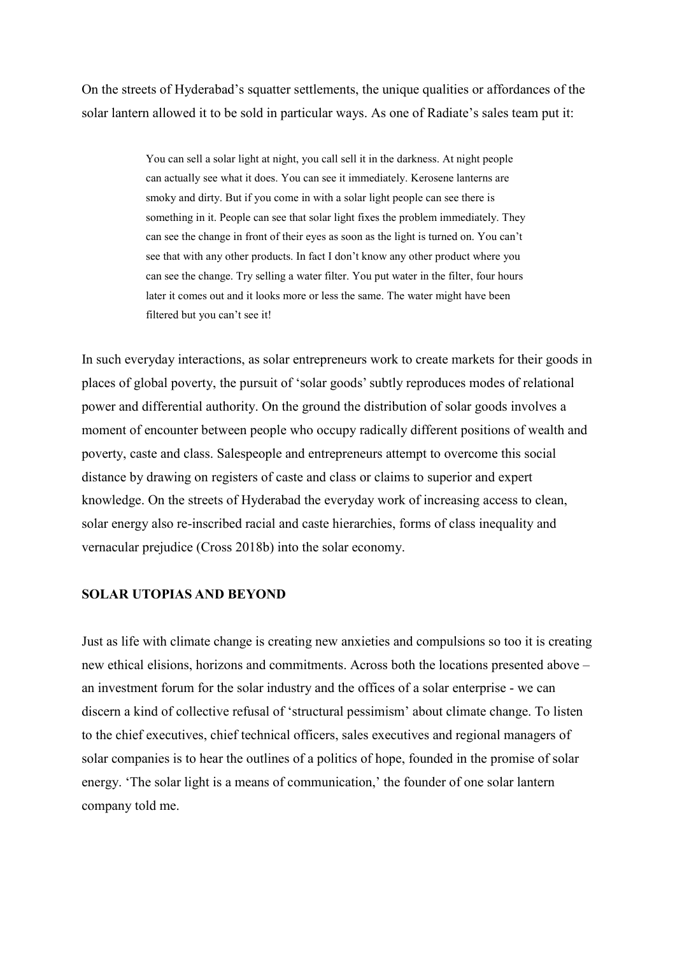On the streets of Hyderabad's squatter settlements, the unique qualities or affordances of the solar lantern allowed it to be sold in particular ways. As one of Radiate's sales team put it:

> You can sell a solar light at night, you call sell it in the darkness. At night people can actually see what it does. You can see it immediately. Kerosene lanterns are smoky and dirty. But if you come in with a solar light people can see there is something in it. People can see that solar light fixes the problem immediately. They can see the change in front of their eyes as soon as the light is turned on. You can't see that with any other products. In fact I don't know any other product where you can see the change. Try selling a water filter. You put water in the filter, four hours later it comes out and it looks more or less the same. The water might have been filtered but you can't see it!

In such everyday interactions, as solar entrepreneurs work to create markets for their goods in places of global poverty, the pursuit of 'solar goods' subtly reproduces modes of relational power and differential authority. On the ground the distribution of solar goods involves a moment of encounter between people who occupy radically different positions of wealth and poverty, caste and class. Salespeople and entrepreneurs attempt to overcome this social distance by drawing on registers of caste and class or claims to superior and expert knowledge. On the streets of Hyderabad the everyday work of increasing access to clean, solar energy also re-inscribed racial and caste hierarchies, forms of class inequality and vernacular prejudice (Cross 2018b) into the solar economy.

# **SOLAR UTOPIAS AND BEYOND**

Just as life with climate change is creating new anxieties and compulsions so too it is creating new ethical elisions, horizons and commitments. Across both the locations presented above – an investment forum for the solar industry and the offices of a solar enterprise - we can discern a kind of collective refusal of 'structural pessimism' about climate change. To listen to the chief executives, chief technical officers, sales executives and regional managers of solar companies is to hear the outlines of a politics of hope, founded in the promise of solar energy. 'The solar light is a means of communication,' the founder of one solar lantern company told me.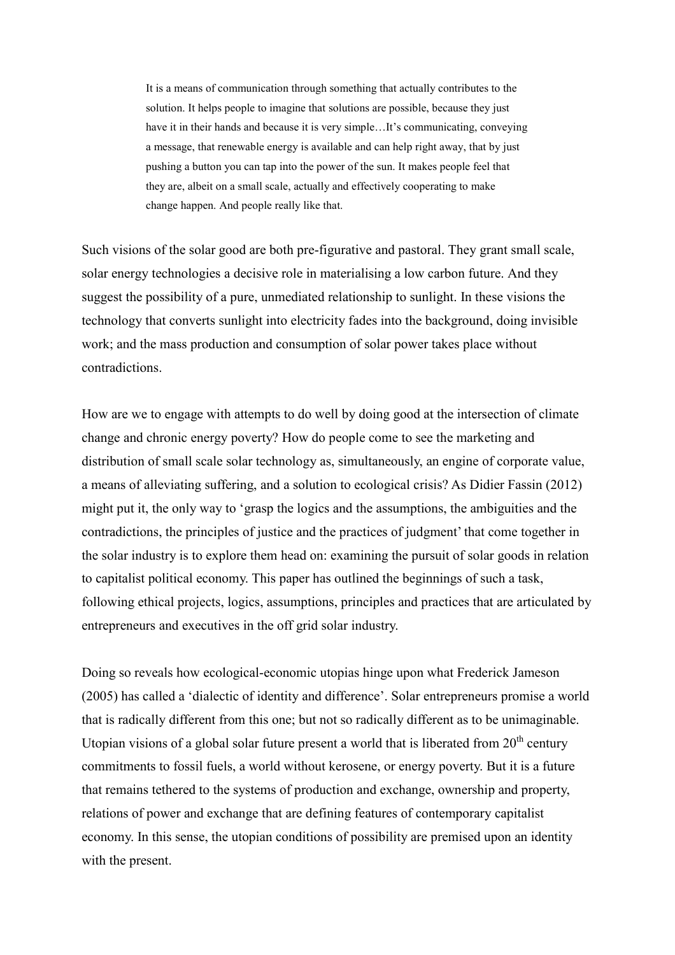It is a means of communication through something that actually contributes to the solution. It helps people to imagine that solutions are possible, because they just have it in their hands and because it is very simple...It's communicating, conveying a message, that renewable energy is available and can help right away, that by just pushing a button you can tap into the power of the sun. It makes people feel that they are, albeit on a small scale, actually and effectively cooperating to make change happen. And people really like that.

Such visions of the solar good are both pre-figurative and pastoral. They grant small scale, solar energy technologies a decisive role in materialising a low carbon future. And they suggest the possibility of a pure, unmediated relationship to sunlight. In these visions the technology that converts sunlight into electricity fades into the background, doing invisible work; and the mass production and consumption of solar power takes place without contradictions.

How are we to engage with attempts to do well by doing good at the intersection of climate change and chronic energy poverty? How do people come to see the marketing and distribution of small scale solar technology as, simultaneously, an engine of corporate value, a means of alleviating suffering, and a solution to ecological crisis? As Didier Fassin (2012) might put it, the only way to 'grasp the logics and the assumptions, the ambiguities and the contradictions, the principles of justice and the practices of judgment' that come together in the solar industry is to explore them head on: examining the pursuit of solar goods in relation to capitalist political economy. This paper has outlined the beginnings of such a task, following ethical projects, logics, assumptions, principles and practices that are articulated by entrepreneurs and executives in the off grid solar industry.

Doing so reveals how ecological-economic utopias hinge upon what Frederick Jameson (2005) has called a 'dialectic of identity and difference'. Solar entrepreneurs promise a world that is radically different from this one; but not so radically different as to be unimaginable. Utopian visions of a global solar future present a world that is liberated from  $20<sup>th</sup>$  century commitments to fossil fuels, a world without kerosene, or energy poverty. But it is a future that remains tethered to the systems of production and exchange, ownership and property, relations of power and exchange that are defining features of contemporary capitalist economy. In this sense, the utopian conditions of possibility are premised upon an identity with the present.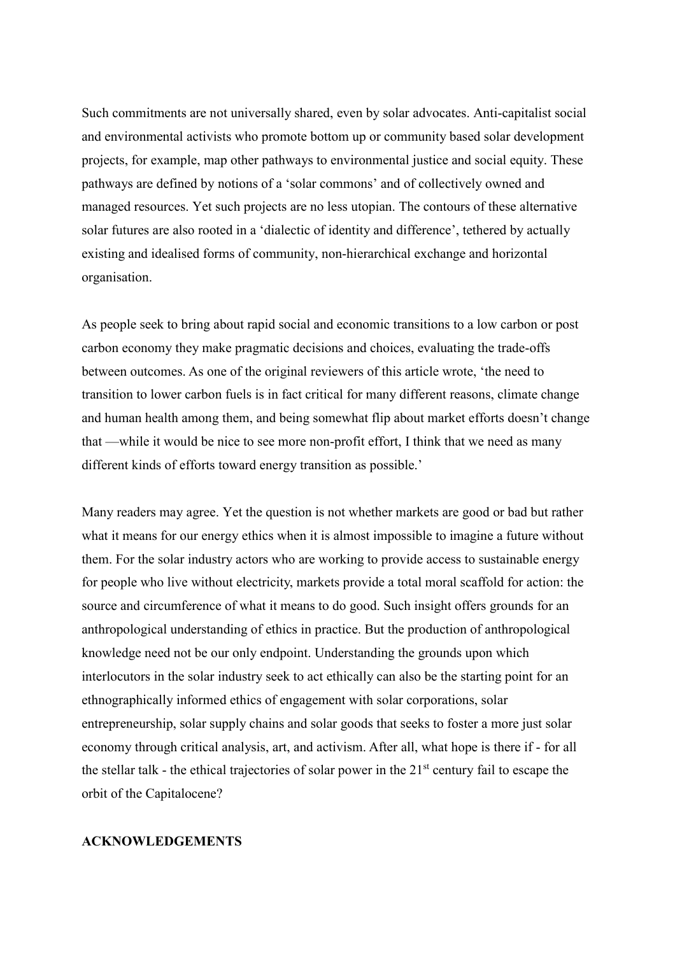Such commitments are not universally shared, even by solar advocates. Anti-capitalist social and environmental activists who promote bottom up or community based solar development projects, for example, map other pathways to environmental justice and social equity. These pathways are defined by notions of a 'solar commons' and of collectively owned and managed resources. Yet such projects are no less utopian. The contours of these alternative solar futures are also rooted in a 'dialectic of identity and difference', tethered by actually existing and idealised forms of community, non-hierarchical exchange and horizontal organisation.

As people seek to bring about rapid social and economic transitions to a low carbon or post carbon economy they make pragmatic decisions and choices, evaluating the trade-offs between outcomes. As one of the original reviewers of this article wrote, 'the need to transition to lower carbon fuels is in fact critical for many different reasons, climate change and human health among them, and being somewhat flip about market efforts doesn't change that —while it would be nice to see more non-profit effort, I think that we need as many different kinds of efforts toward energy transition as possible.'

Many readers may agree. Yet the question is not whether markets are good or bad but rather what it means for our energy ethics when it is almost impossible to imagine a future without them. For the solar industry actors who are working to provide access to sustainable energy for people who live without electricity, markets provide a total moral scaffold for action: the source and circumference of what it means to do good. Such insight offers grounds for an anthropological understanding of ethics in practice. But the production of anthropological knowledge need not be our only endpoint. Understanding the grounds upon which interlocutors in the solar industry seek to act ethically can also be the starting point for an ethnographically informed ethics of engagement with solar corporations, solar entrepreneurship, solar supply chains and solar goods that seeks to foster a more just solar economy through critical analysis, art, and activism. After all, what hope is there if - for all the stellar talk - the ethical trajectories of solar power in the 21<sup>st</sup> century fail to escape the orbit of the Capitalocene?

# **ACKNOWLEDGEMENTS**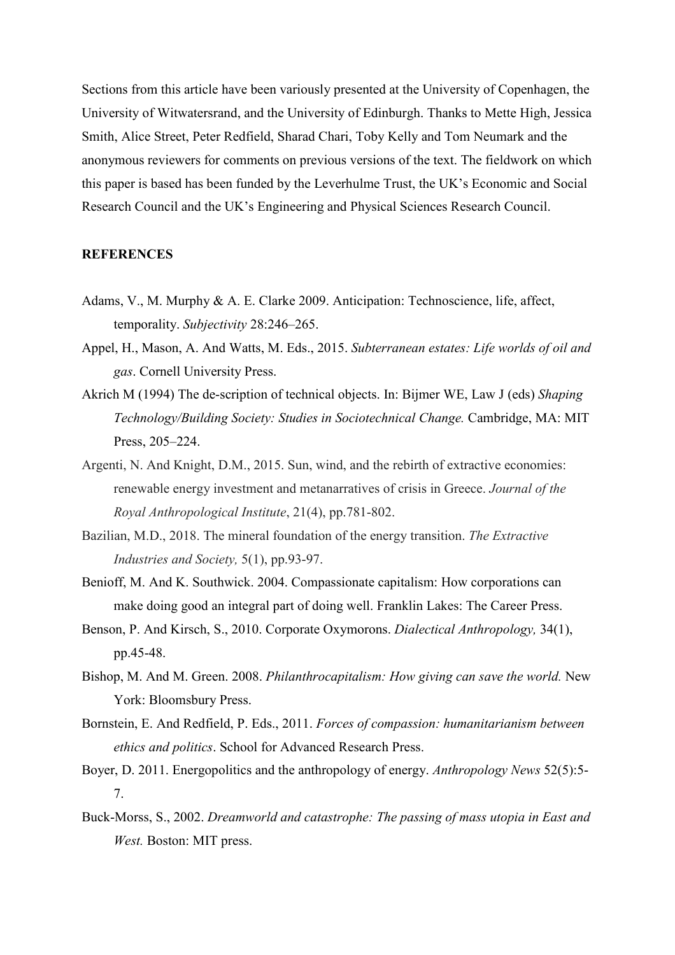Sections from this article have been variously presented at the University of Copenhagen, the University of Witwatersrand, and the University of Edinburgh. Thanks to Mette High, Jessica Smith, Alice Street, Peter Redfield, Sharad Chari, Toby Kelly and Tom Neumark and the anonymous reviewers for comments on previous versions of the text. The fieldwork on which this paper is based has been funded by the Leverhulme Trust, the UK's Economic and Social Research Council and the UK's Engineering and Physical Sciences Research Council.

### **REFERENCES**

- Adams, V., M. Murphy & A. E. Clarke 2009. Anticipation: Technoscience, life, affect, temporality. *Subjectivity* 28:246–265.
- Appel, H., Mason, A. And Watts, M. Eds., 2015. *Subterranean estates: Life worlds of oil and gas*. Cornell University Press.
- Akrich M (1994) The de-scription of technical objects. In: Bijmer WE, Law J (eds) *Shaping Technology/Building Society: Studies in Sociotechnical Change.* Cambridge, MA: MIT Press, 205–224.
- Argenti, N. And Knight, D.M., 2015. Sun, wind, and the rebirth of extractive economies: renewable energy investment and metanarratives of crisis in Greece. *Journal of the Royal Anthropological Institute*, 21(4), pp.781-802.
- Bazilian, M.D., 2018. The mineral foundation of the energy transition. *The Extractive Industries and Society,* 5(1), pp.93-97.
- Benioff, M. And K. Southwick. 2004. Compassionate capitalism: How corporations can make doing good an integral part of doing well. Franklin Lakes: The Career Press.
- Benson, P. And Kirsch, S., 2010. Corporate Oxymorons. *Dialectical Anthropology,* 34(1), pp.45-48.
- Bishop, M. And M. Green. 2008. *Philanthrocapitalism: How giving can save the world.* New York: Bloomsbury Press.
- Bornstein, E. And Redfield, P. Eds., 2011. *Forces of compassion: humanitarianism between ethics and politics*. School for Advanced Research Press.
- Boyer, D. 2011. Energopolitics and the anthropology of energy. *Anthropology News* 52(5):5- 7.
- Buck-Morss, S., 2002. *Dreamworld and catastrophe: The passing of mass utopia in East and West.* Boston: MIT press.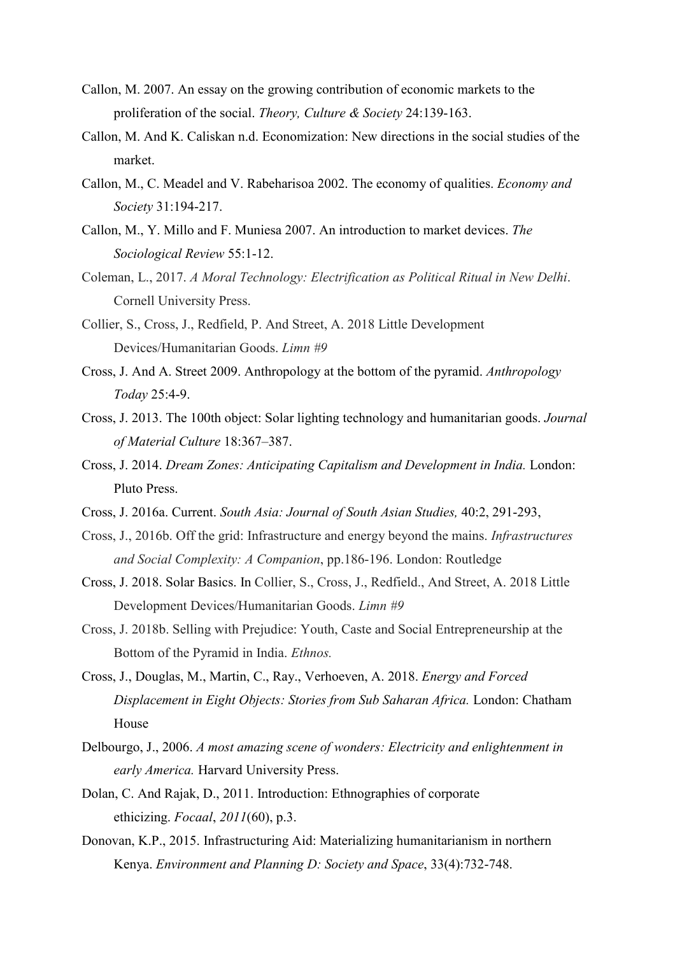- Callon, M. 2007. An essay on the growing contribution of economic markets to the proliferation of the social. *Theory, Culture & Society* 24:139-163.
- Callon, M. And K. Caliskan n.d. Economization: New directions in the social studies of the market.
- Callon, M., C. Meadel and V. Rabeharisoa 2002. The economy of qualities. *Economy and Society* 31:194-217.
- Callon, M., Y. Millo and F. Muniesa 2007. An introduction to market devices. *The Sociological Review* 55:1-12.
- Coleman, L., 2017. *A Moral Technology: Electrification as Political Ritual in New Delhi*. Cornell University Press.
- Collier, S., Cross, J., Redfield, P. And Street, A. 2018 Little Development Devices/Humanitarian Goods. *Limn #9*
- Cross, J. And A. Street 2009. Anthropology at the bottom of the pyramid. *Anthropology Today* 25:4-9.
- Cross, J. 2013. The 100th object: Solar lighting technology and humanitarian goods. *Journal of Material Culture* 18:367–387.
- Cross, J. 2014. *Dream Zones: Anticipating Capitalism and Development in India.* London: Pluto Press.
- Cross, J. 2016a. Current. *South Asia: Journal of South Asian Studies,* 40:2, 291-293,
- Cross, J., 2016b. Off the grid: Infrastructure and energy beyond the mains. *Infrastructures and Social Complexity: A Companion*, pp.186-196. London: Routledge
- Cross, J. 2018. Solar Basics. In Collier, S., Cross, J., Redfield., And Street, A. 2018 Little Development Devices/Humanitarian Goods. *Limn #9*
- Cross, J. 2018b. Selling with Prejudice: Youth, Caste and Social Entrepreneurship at the Bottom of the Pyramid in India. *Ethnos.*
- Cross, J., Douglas, M., Martin, C., Ray., Verhoeven, A. 2018. *Energy and Forced Displacement in Eight Objects: Stories from Sub Saharan Africa.* London: Chatham House
- Delbourgo, J., 2006. *A most amazing scene of wonders: Electricity and enlightenment in early America.* Harvard University Press.
- Dolan, C. And Rajak, D., 2011. Introduction: Ethnographies of corporate ethicizing. *Focaal*, *2011*(60), p.3.
- Donovan, K.P., 2015. Infrastructuring Aid: Materializing humanitarianism in northern Kenya. *Environment and Planning D: Society and Space*, 33(4):732-748.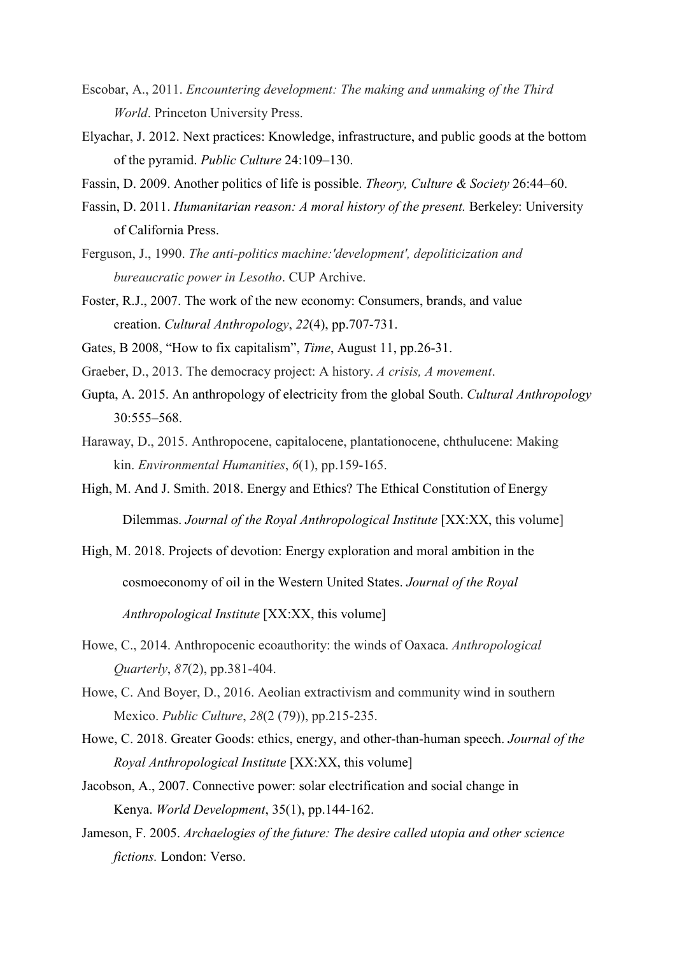- Escobar, A., 2011. *Encountering development: The making and unmaking of the Third World*. Princeton University Press.
- Elyachar, J. 2012. Next practices: Knowledge, infrastructure, and public goods at the bottom of the pyramid. *Public Culture* 24:109–130.
- Fassin, D. 2009. Another politics of life is possible. *Theory, Culture & Society* 26:44–60.
- Fassin, D. 2011. *Humanitarian reason: A moral history of the present.* Berkeley: University of California Press.
- Ferguson, J., 1990. *The anti-politics machine:'development', depoliticization and bureaucratic power in Lesotho*. CUP Archive.
- Foster, R.J., 2007. The work of the new economy: Consumers, brands, and value creation. *Cultural Anthropology*, *22*(4), pp.707-731.
- Gates, B 2008, "How to fix capitalism", *Time*, August 11, pp.26-31.
- Graeber, D., 2013. The democracy project: A history. *A crisis, A movement*.
- Gupta, A. 2015. An anthropology of electricity from the global South. *Cultural Anthropology* 30:555–568.
- Haraway, D., 2015. Anthropocene, capitalocene, plantationocene, chthulucene: Making kin. *Environmental Humanities*, *6*(1), pp.159-165.
- High, M. And J. Smith. 2018. Energy and Ethics? The Ethical Constitution of Energy Dilemmas. *Journal of the Royal Anthropological Institute* [XX:XX, this volume]
- High, M. 2018. Projects of devotion: Energy exploration and moral ambition in the cosmoeconomy of oil in the Western United States. *Journal of the Royal Anthropological Institute* [XX:XX, this volume]
- Howe, C., 2014. Anthropocenic ecoauthority: the winds of Oaxaca. *Anthropological Quarterly*, *87*(2), pp.381-404.
- Howe, C. And Boyer, D., 2016. Aeolian extractivism and community wind in southern Mexico. *Public Culture*, *28*(2 (79)), pp.215-235.
- Howe, C. 2018. Greater Goods: ethics, energy, and other-than-human speech. *Journal of the Royal Anthropological Institute* [XX:XX, this volume]
- Jacobson, A., 2007. Connective power: solar electrification and social change in Kenya. *World Development*, 35(1), pp.144-162.
- Jameson, F. 2005. *Archaelogies of the future: The desire called utopia and other science fictions.* London: Verso.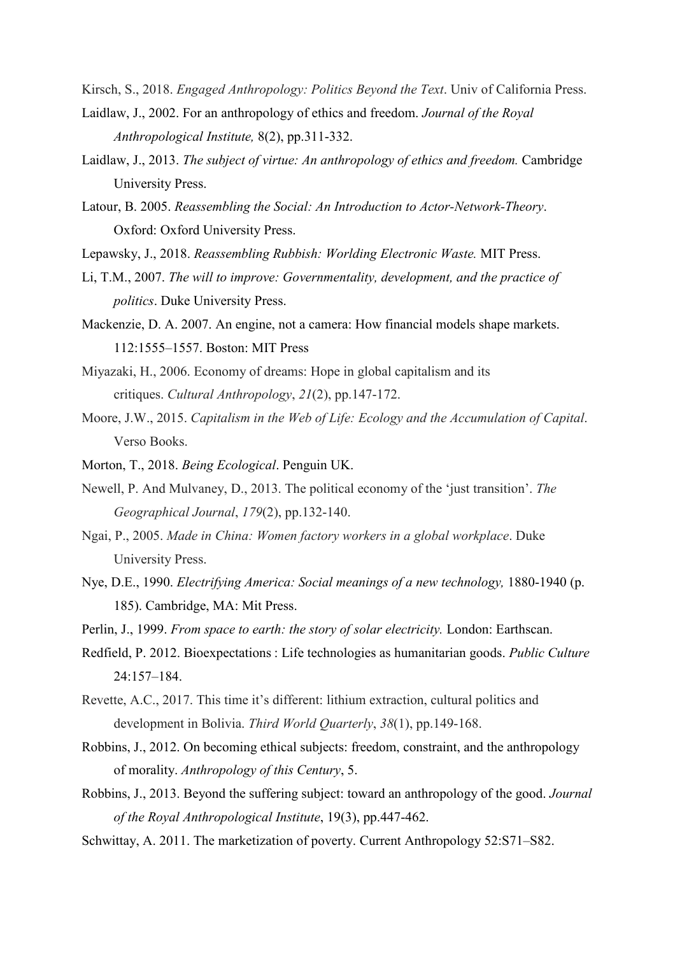Kirsch, S., 2018. *Engaged Anthropology: Politics Beyond the Text*. Univ of California Press.

- Laidlaw, J., 2002. For an anthropology of ethics and freedom. *Journal of the Royal Anthropological Institute,* 8(2), pp.311-332.
- Laidlaw, J., 2013. *The subject of virtue: An anthropology of ethics and freedom.* Cambridge University Press.
- Latour, B. 2005. *Reassembling the Social: An Introduction to Actor-Network-Theory*. Oxford: Oxford University Press.
- Lepawsky, J., 2018. *Reassembling Rubbish: Worlding Electronic Waste.* MIT Press.
- Li, T.M., 2007. *The will to improve: Governmentality, development, and the practice of politics*. Duke University Press.
- Mackenzie, D. A. 2007. An engine, not a camera: How financial models shape markets. 112:1555–1557. Boston: MIT Press
- Miyazaki, H., 2006. Economy of dreams: Hope in global capitalism and its critiques. *Cultural Anthropology*, *21*(2), pp.147-172.
- Moore, J.W., 2015. *Capitalism in the Web of Life: Ecology and the Accumulation of Capital*. Verso Books.
- Morton, T., 2018. *Being Ecological*. Penguin UK.
- Newell, P. And Mulvaney, D., 2013. The political economy of the 'just transition'. *The Geographical Journal*, *179*(2), pp.132-140.
- Ngai, P., 2005. *Made in China: Women factory workers in a global workplace*. Duke University Press.
- Nye, D.E., 1990. *Electrifying America: Social meanings of a new technology,* 1880-1940 (p. 185). Cambridge, MA: Mit Press.
- Perlin, J., 1999. *From space to earth: the story of solar electricity.* London: Earthscan.
- Redfield, P. 2012. Bioexpectations : Life technologies as humanitarian goods. *Public Culture* 24:157–184.
- Revette, A.C., 2017. This time it's different: lithium extraction, cultural politics and development in Bolivia. *Third World Quarterly*, *38*(1), pp.149-168.
- Robbins, J., 2012. On becoming ethical subjects: freedom, constraint, and the anthropology of morality. *Anthropology of this Century*, 5.
- Robbins, J., 2013. Beyond the suffering subject: toward an anthropology of the good. *Journal of the Royal Anthropological Institute*, 19(3), pp.447-462.
- Schwittay, A. 2011. The marketization of poverty. Current Anthropology 52:S71–S82.